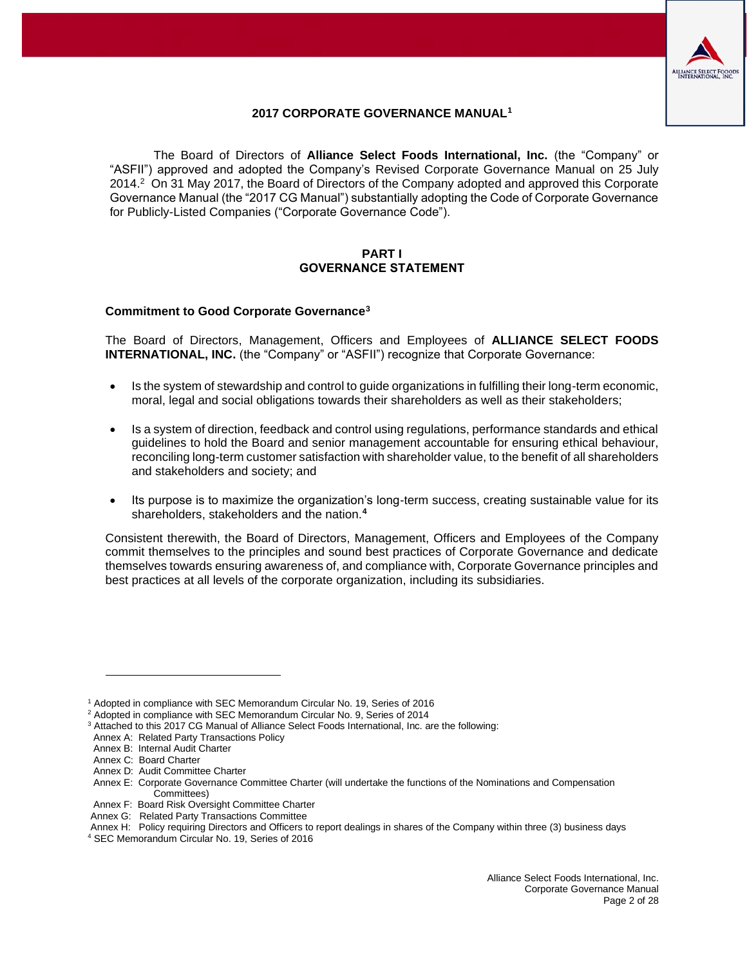

## **2017 CORPORATE GOVERNANCE MANUAL<sup>1</sup>**

The Board of Directors of **Alliance Select Foods International, Inc.** (the "Company" or "ASFII") approved and adopted the Company's Revised Corporate Governance Manual on 25 July 2014.<sup>2</sup> On 31 May 2017, the Board of Directors of the Company adopted and approved this Corporate Governance Manual (the "2017 CG Manual") substantially adopting the Code of Corporate Governance for Publicly-Listed Companies ("Corporate Governance Code").

#### **PART I GOVERNANCE STATEMENT**

#### **Commitment to Good Corporate Governance<sup>3</sup>**

The Board of Directors, Management, Officers and Employees of **ALLIANCE SELECT FOODS INTERNATIONAL, INC.** (the "Company" or "ASFII") recognize that Corporate Governance:

- Is the system of stewardship and control to guide organizations in fulfilling their long-term economic, moral, legal and social obligations towards their shareholders as well as their stakeholders;
- Is a system of direction, feedback and control using regulations, performance standards and ethical guidelines to hold the Board and senior management accountable for ensuring ethical behaviour, reconciling long-term customer satisfaction with shareholder value, to the benefit of all shareholders and stakeholders and society; and
- Its purpose is to maximize the organization's long-term success, creating sustainable value for its shareholders, stakeholders and the nation.**<sup>4</sup>**

Consistent therewith, the Board of Directors, Management, Officers and Employees of the Company commit themselves to the principles and sound best practices of Corporate Governance and dedicate themselves towards ensuring awareness of, and compliance with, Corporate Governance principles and best practices at all levels of the corporate organization, including its subsidiaries.

<sup>&</sup>lt;sup>1</sup> Adopted in compliance with SEC Memorandum Circular No. 19, Series of 2016

<sup>2</sup> Adopted in compliance with SEC Memorandum Circular No. 9, Series of 2014

<sup>&</sup>lt;sup>3</sup> Attached to this 2017 CG Manual of Alliance Select Foods International, Inc. are the following:

Annex A: Related Party Transactions Policy

Annex B: Internal Audit Charter

Annex C: Board Charter

Annex D: Audit Committee Charter

Annex E: Corporate Governance Committee Charter (will undertake the functions of the Nominations and Compensation Committees)

Annex F: Board Risk Oversight Committee Charter

Annex G: Related Party Transactions Committee

Annex H: Policy requiring Directors and Officers to report dealings in shares of the Company within three (3) business days

<sup>4</sup> SEC Memorandum Circular No. 19, Series of 2016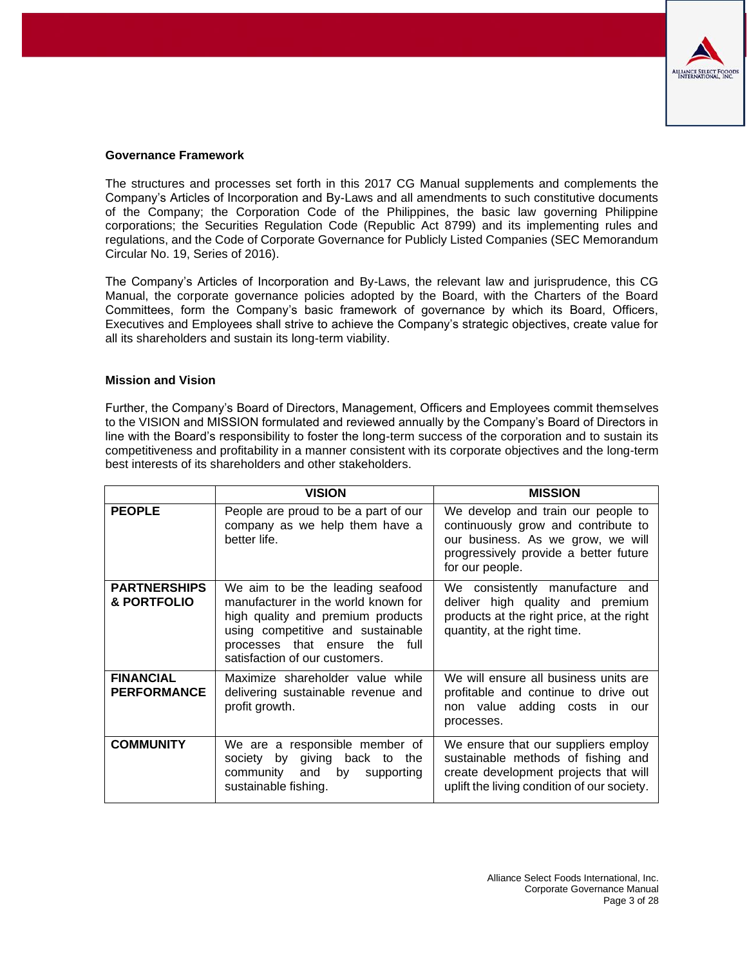

#### **Governance Framework**

The structures and processes set forth in this 2017 CG Manual supplements and complements the Company's Articles of Incorporation and By-Laws and all amendments to such constitutive documents of the Company; the Corporation Code of the Philippines, the basic law governing Philippine corporations; the Securities Regulation Code (Republic Act 8799) and its implementing rules and regulations, and the Code of Corporate Governance for Publicly Listed Companies (SEC Memorandum Circular No. 19, Series of 2016).

The Company's Articles of Incorporation and By-Laws, the relevant law and jurisprudence, this CG Manual, the corporate governance policies adopted by the Board, with the Charters of the Board Committees, form the Company's basic framework of governance by which its Board, Officers, Executives and Employees shall strive to achieve the Company's strategic objectives, create value for all its shareholders and sustain its long-term viability.

#### **Mission and Vision**

Further, the Company's Board of Directors, Management, Officers and Employees commit themselves to the VISION and MISSION formulated and reviewed annually by the Company's Board of Directors in line with the Board's responsibility to foster the long-term success of the corporation and to sustain its competitiveness and profitability in a manner consistent with its corporate objectives and the long-term best interests of its shareholders and other stakeholders.

|                                        | <b>VISION</b>                                                                                                                                                                                                         | <b>MISSION</b>                                                                                                                                                             |
|----------------------------------------|-----------------------------------------------------------------------------------------------------------------------------------------------------------------------------------------------------------------------|----------------------------------------------------------------------------------------------------------------------------------------------------------------------------|
| <b>PEOPLE</b>                          | People are proud to be a part of our<br>company as we help them have a<br>better life.                                                                                                                                | We develop and train our people to<br>continuously grow and contribute to<br>our business. As we grow, we will<br>progressively provide a better future<br>for our people. |
| <b>PARTNERSHIPS</b><br>& PORTFOLIO     | We aim to be the leading seafood<br>manufacturer in the world known for<br>high quality and premium products<br>using competitive and sustainable<br>processes that ensure the full<br>satisfaction of our customers. | We consistently manufacture and<br>deliver high quality and premium<br>products at the right price, at the right<br>quantity, at the right time.                           |
| <b>FINANCIAL</b><br><b>PERFORMANCE</b> | Maximize shareholder value while<br>delivering sustainable revenue and<br>profit growth.                                                                                                                              | We will ensure all business units are<br>profitable and continue to drive out<br>non value adding costs in<br>our<br>processes.                                            |
| <b>COMMUNITY</b>                       | We are a responsible member of<br>society by giving back to<br>the<br>community and by supporting<br>sustainable fishing.                                                                                             | We ensure that our suppliers employ<br>sustainable methods of fishing and<br>create development projects that will<br>uplift the living condition of our society.          |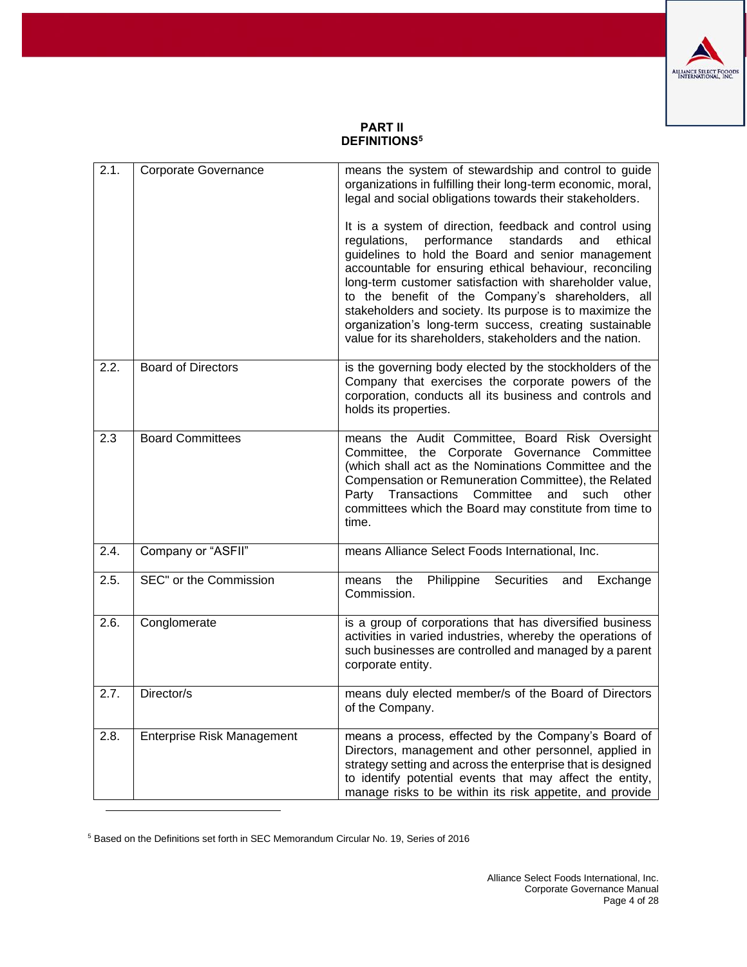

### **PART II DEFINITIONS<sup>5</sup>**

| 2.1. | <b>Corporate Governance</b>       | means the system of stewardship and control to guide<br>organizations in fulfilling their long-term economic, moral,<br>legal and social obligations towards their stakeholders.<br>It is a system of direction, feedback and control using<br>performance<br>standards<br>regulations,<br>and<br>ethical<br>guidelines to hold the Board and senior management<br>accountable for ensuring ethical behaviour, reconciling<br>long-term customer satisfaction with shareholder value,<br>to the benefit of the Company's shareholders, all<br>stakeholders and society. Its purpose is to maximize the<br>organization's long-term success, creating sustainable<br>value for its shareholders, stakeholders and the nation. |
|------|-----------------------------------|------------------------------------------------------------------------------------------------------------------------------------------------------------------------------------------------------------------------------------------------------------------------------------------------------------------------------------------------------------------------------------------------------------------------------------------------------------------------------------------------------------------------------------------------------------------------------------------------------------------------------------------------------------------------------------------------------------------------------|
| 2.2. | <b>Board of Directors</b>         | is the governing body elected by the stockholders of the<br>Company that exercises the corporate powers of the<br>corporation, conducts all its business and controls and<br>holds its properties.                                                                                                                                                                                                                                                                                                                                                                                                                                                                                                                           |
| 2.3  | <b>Board Committees</b>           | means the Audit Committee, Board Risk Oversight<br>Committee, the Corporate Governance Committee<br>(which shall act as the Nominations Committee and the<br>Compensation or Remuneration Committee), the Related<br>Party Transactions Committee<br>and such<br>other<br>committees which the Board may constitute from time to<br>time.                                                                                                                                                                                                                                                                                                                                                                                    |
| 2.4. | Company or "ASFII"                | means Alliance Select Foods International, Inc.                                                                                                                                                                                                                                                                                                                                                                                                                                                                                                                                                                                                                                                                              |
| 2.5. | SEC" or the Commission            | Philippine<br>Securities<br>the<br>Exchange<br>means<br>and<br>Commission.                                                                                                                                                                                                                                                                                                                                                                                                                                                                                                                                                                                                                                                   |
| 2.6. | Conglomerate                      | is a group of corporations that has diversified business<br>activities in varied industries, whereby the operations of<br>such businesses are controlled and managed by a parent<br>corporate entity.                                                                                                                                                                                                                                                                                                                                                                                                                                                                                                                        |
| 2.7. | Director/s                        | means duly elected member/s of the Board of Directors<br>of the Company.                                                                                                                                                                                                                                                                                                                                                                                                                                                                                                                                                                                                                                                     |
| 2.8. | <b>Enterprise Risk Management</b> | means a process, effected by the Company's Board of<br>Directors, management and other personnel, applied in<br>strategy setting and across the enterprise that is designed<br>to identify potential events that may affect the entity,<br>manage risks to be within its risk appetite, and provide                                                                                                                                                                                                                                                                                                                                                                                                                          |

<sup>5</sup> Based on the Definitions set forth in SEC Memorandum Circular No. 19, Series of 2016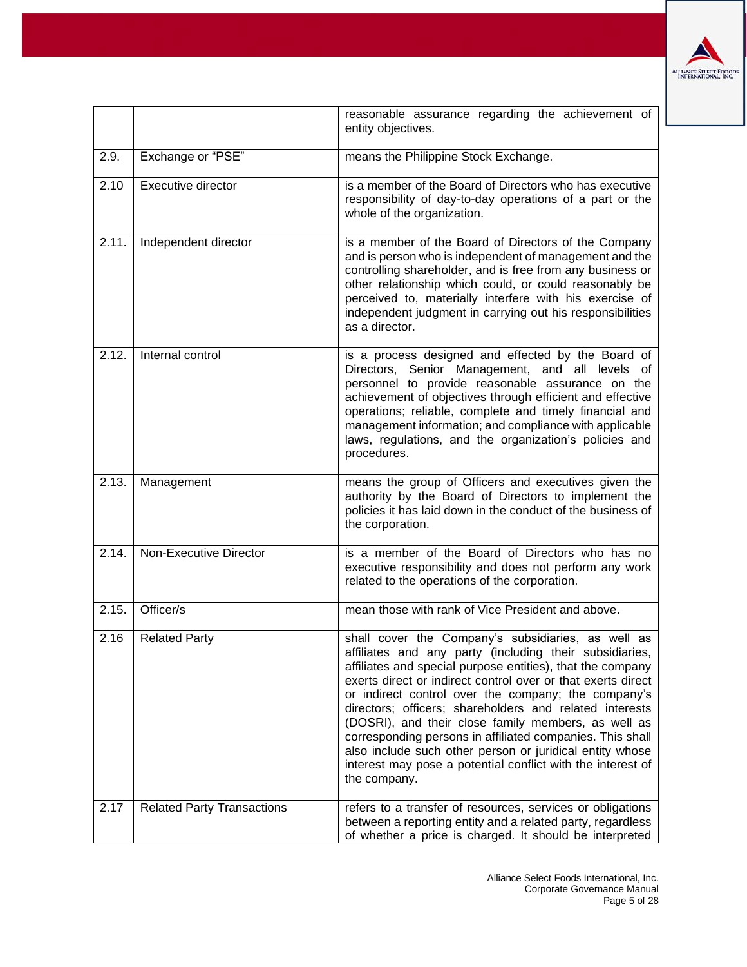

|       |                                   | reasonable assurance regarding the achievement of<br>entity objectives.                                                                                                                                                                                                                                                                                                                                                                                                                                                                                                                                                      |
|-------|-----------------------------------|------------------------------------------------------------------------------------------------------------------------------------------------------------------------------------------------------------------------------------------------------------------------------------------------------------------------------------------------------------------------------------------------------------------------------------------------------------------------------------------------------------------------------------------------------------------------------------------------------------------------------|
| 2.9.  | Exchange or "PSE"                 | means the Philippine Stock Exchange.                                                                                                                                                                                                                                                                                                                                                                                                                                                                                                                                                                                         |
| 2.10  | Executive director                | is a member of the Board of Directors who has executive<br>responsibility of day-to-day operations of a part or the<br>whole of the organization.                                                                                                                                                                                                                                                                                                                                                                                                                                                                            |
| 2.11. | Independent director              | is a member of the Board of Directors of the Company<br>and is person who is independent of management and the<br>controlling shareholder, and is free from any business or<br>other relationship which could, or could reasonably be<br>perceived to, materially interfere with his exercise of<br>independent judgment in carrying out his responsibilities<br>as a director.                                                                                                                                                                                                                                              |
| 2.12. | Internal control                  | is a process designed and effected by the Board of<br>Directors, Senior Management, and all levels of<br>personnel to provide reasonable assurance on the<br>achievement of objectives through efficient and effective<br>operations; reliable, complete and timely financial and<br>management information; and compliance with applicable<br>laws, regulations, and the organization's policies and<br>procedures.                                                                                                                                                                                                         |
| 2.13. | Management                        | means the group of Officers and executives given the<br>authority by the Board of Directors to implement the<br>policies it has laid down in the conduct of the business of<br>the corporation.                                                                                                                                                                                                                                                                                                                                                                                                                              |
| 2.14. | Non-Executive Director            | is a member of the Board of Directors who has no<br>executive responsibility and does not perform any work<br>related to the operations of the corporation.                                                                                                                                                                                                                                                                                                                                                                                                                                                                  |
| 2.15. | Officer/s                         | mean those with rank of Vice President and above.                                                                                                                                                                                                                                                                                                                                                                                                                                                                                                                                                                            |
| 2.16  | <b>Related Party</b>              | shall cover the Company's subsidiaries, as well as<br>affiliates and any party (including their subsidiaries,<br>affiliates and special purpose entities), that the company<br>exerts direct or indirect control over or that exerts direct<br>or indirect control over the company; the company's<br>directors; officers; shareholders and related interests<br>(DOSRI), and their close family members, as well as<br>corresponding persons in affiliated companies. This shall<br>also include such other person or juridical entity whose<br>interest may pose a potential conflict with the interest of<br>the company. |
| 2.17  | <b>Related Party Transactions</b> | refers to a transfer of resources, services or obligations<br>between a reporting entity and a related party, regardless<br>of whether a price is charged. It should be interpreted                                                                                                                                                                                                                                                                                                                                                                                                                                          |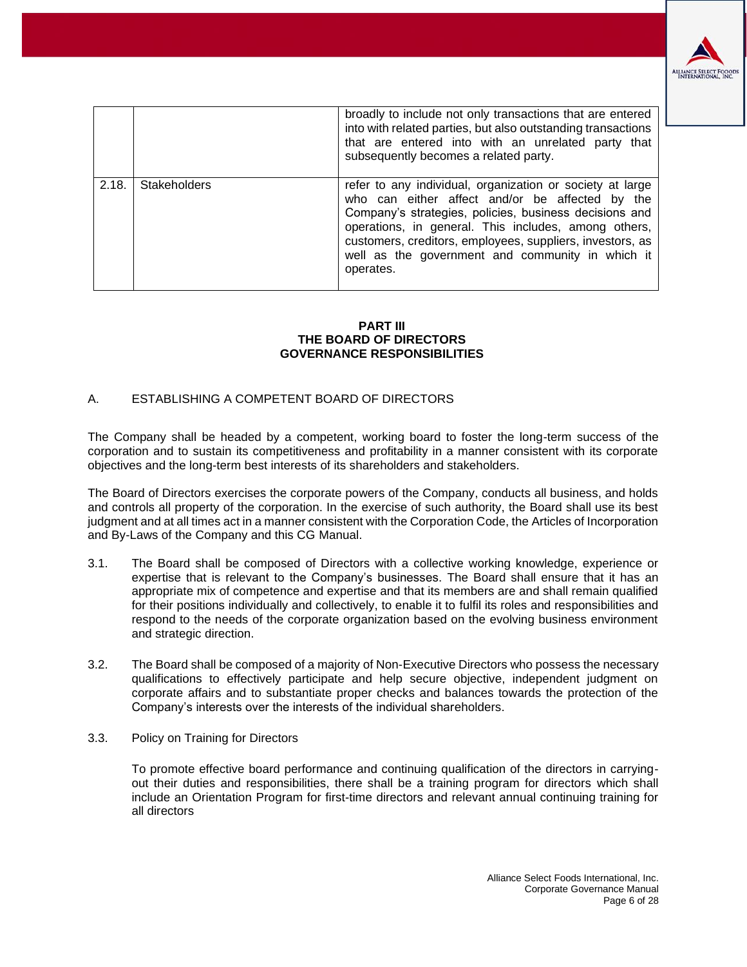

|       |                     | broadly to include not only transactions that are entered<br>into with related parties, but also outstanding transactions<br>that are entered into with an unrelated party that<br>subsequently becomes a related party.                                                                                                                                     |
|-------|---------------------|--------------------------------------------------------------------------------------------------------------------------------------------------------------------------------------------------------------------------------------------------------------------------------------------------------------------------------------------------------------|
| 2.18. | <b>Stakeholders</b> | refer to any individual, organization or society at large<br>who can either affect and/or be affected by the<br>Company's strategies, policies, business decisions and<br>operations, in general. This includes, among others,<br>customers, creditors, employees, suppliers, investors, as<br>well as the government and community in which it<br>operates. |

### **PART III THE BOARD OF DIRECTORS GOVERNANCE RESPONSIBILITIES**

## A. ESTABLISHING A COMPETENT BOARD OF DIRECTORS

The Company shall be headed by a competent, working board to foster the long-term success of the corporation and to sustain its competitiveness and profitability in a manner consistent with its corporate objectives and the long-term best interests of its shareholders and stakeholders.

The Board of Directors exercises the corporate powers of the Company, conducts all business, and holds and controls all property of the corporation. In the exercise of such authority, the Board shall use its best judgment and at all times act in a manner consistent with the Corporation Code, the Articles of Incorporation and By-Laws of the Company and this CG Manual.

- 3.1. The Board shall be composed of Directors with a collective working knowledge, experience or expertise that is relevant to the Company's businesses. The Board shall ensure that it has an appropriate mix of competence and expertise and that its members are and shall remain qualified for their positions individually and collectively, to enable it to fulfil its roles and responsibilities and respond to the needs of the corporate organization based on the evolving business environment and strategic direction.
- 3.2. The Board shall be composed of a majority of Non-Executive Directors who possess the necessary qualifications to effectively participate and help secure objective, independent judgment on corporate affairs and to substantiate proper checks and balances towards the protection of the Company's interests over the interests of the individual shareholders.
- 3.3. Policy on Training for Directors

To promote effective board performance and continuing qualification of the directors in carryingout their duties and responsibilities, there shall be a training program for directors which shall include an Orientation Program for first-time directors and relevant annual continuing training for all directors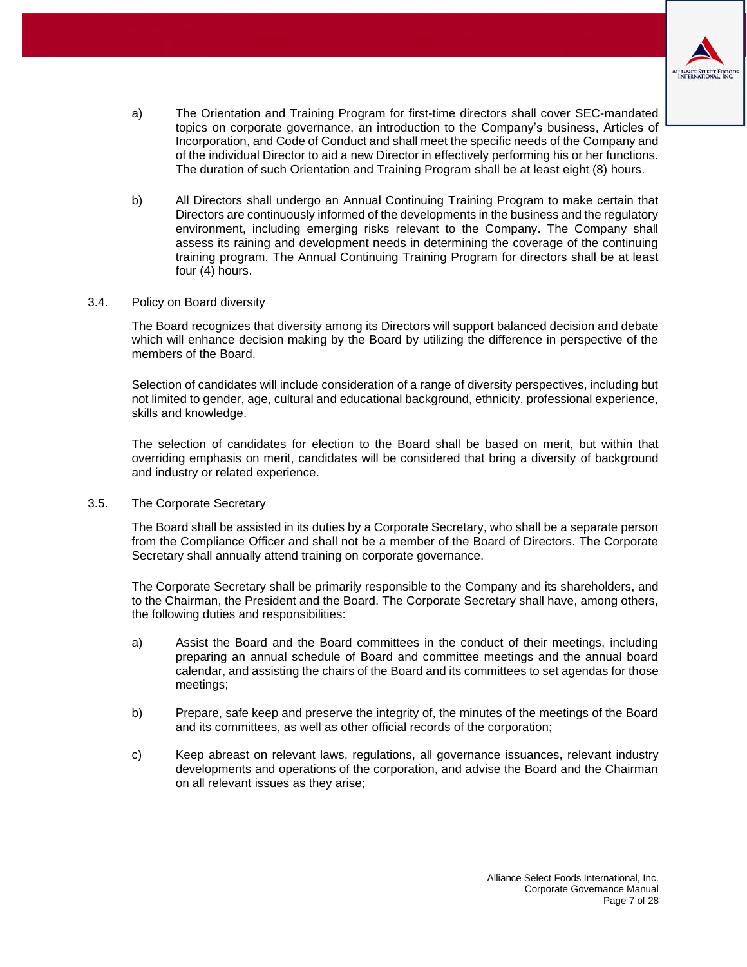

- a) The Orientation and Training Program for first-time directors shall cover SEC-mandated topics on corporate governance, an introduction to the Company's business, Articles of Incorporation, and Code of Conduct and shall meet the specific needs of the Company and of the individual Director to aid a new Director in effectively performing his or her functions. The duration of such Orientation and Training Program shall be at least eight (8) hours.
- b) All Directors shall undergo an Annual Continuing Training Program to make certain that Directors are continuously informed of the developments in the business and the regulatory environment, including emerging risks relevant to the Company. The Company shall assess its raining and development needs in determining the coverage of the continuing training program. The Annual Continuing Training Program for directors shall be at least four (4) hours.

#### 3.4. Policy on Board diversity

The Board recognizes that diversity among its Directors will support balanced decision and debate which will enhance decision making by the Board by utilizing the difference in perspective of the members of the Board.

Selection of candidates will include consideration of a range of diversity perspectives, including but not limited to gender, age, cultural and educational background, ethnicity, professional experience, skills and knowledge.

The selection of candidates for election to the Board shall be based on merit, but within that overriding emphasis on merit, candidates will be considered that bring a diversity of background and industry or related experience.

3.5. The Corporate Secretary

The Board shall be assisted in its duties by a Corporate Secretary, who shall be a separate person from the Compliance Officer and shall not be a member of the Board of Directors. The Corporate Secretary shall annually attend training on corporate governance.

The Corporate Secretary shall be primarily responsible to the Company and its shareholders, and to the Chairman, the President and the Board. The Corporate Secretary shall have, among others, the following duties and responsibilities:

- a) Assist the Board and the Board committees in the conduct of their meetings, including preparing an annual schedule of Board and committee meetings and the annual board calendar, and assisting the chairs of the Board and its committees to set agendas for those meetings;
- b) Prepare, safe keep and preserve the integrity of, the minutes of the meetings of the Board and its committees, as well as other official records of the corporation;
- c) Keep abreast on relevant laws, regulations, all governance issuances, relevant industry developments and operations of the corporation, and advise the Board and the Chairman on all relevant issues as they arise;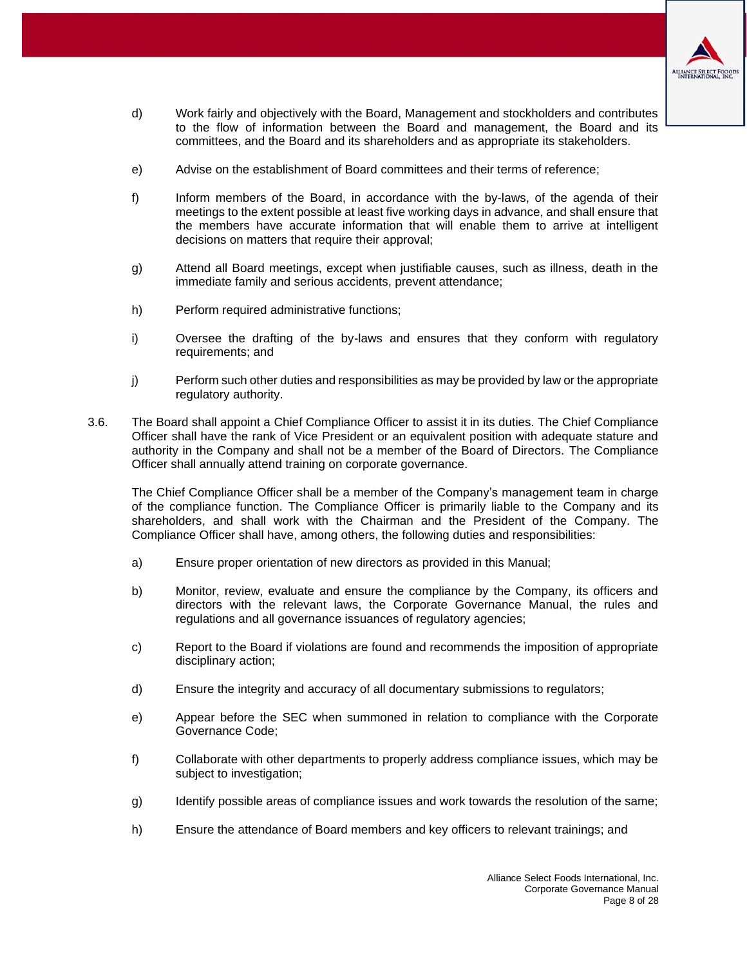

- d) Work fairly and objectively with the Board, Management and stockholders and contributes to the flow of information between the Board and management, the Board and its committees, and the Board and its shareholders and as appropriate its stakeholders.
- e) Advise on the establishment of Board committees and their terms of reference;
- f) Inform members of the Board, in accordance with the by-laws, of the agenda of their meetings to the extent possible at least five working days in advance, and shall ensure that the members have accurate information that will enable them to arrive at intelligent decisions on matters that require their approval;
- g) Attend all Board meetings, except when justifiable causes, such as illness, death in the immediate family and serious accidents, prevent attendance;
- h) Perform required administrative functions;
- i) Oversee the drafting of the by-laws and ensures that they conform with regulatory requirements; and
- j) Perform such other duties and responsibilities as may be provided by law or the appropriate regulatory authority.
- 3.6. The Board shall appoint a Chief Compliance Officer to assist it in its duties. The Chief Compliance Officer shall have the rank of Vice President or an equivalent position with adequate stature and authority in the Company and shall not be a member of the Board of Directors. The Compliance Officer shall annually attend training on corporate governance.

The Chief Compliance Officer shall be a member of the Company's management team in charge of the compliance function. The Compliance Officer is primarily liable to the Company and its shareholders, and shall work with the Chairman and the President of the Company. The Compliance Officer shall have, among others, the following duties and responsibilities:

- a) Ensure proper orientation of new directors as provided in this Manual;
- b) Monitor, review, evaluate and ensure the compliance by the Company, its officers and directors with the relevant laws, the Corporate Governance Manual, the rules and regulations and all governance issuances of regulatory agencies;
- c) Report to the Board if violations are found and recommends the imposition of appropriate disciplinary action;
- d) Ensure the integrity and accuracy of all documentary submissions to regulators;
- e) Appear before the SEC when summoned in relation to compliance with the Corporate Governance Code;
- f) Collaborate with other departments to properly address compliance issues, which may be subject to investigation;
- g) Identify possible areas of compliance issues and work towards the resolution of the same;
- h) Ensure the attendance of Board members and key officers to relevant trainings; and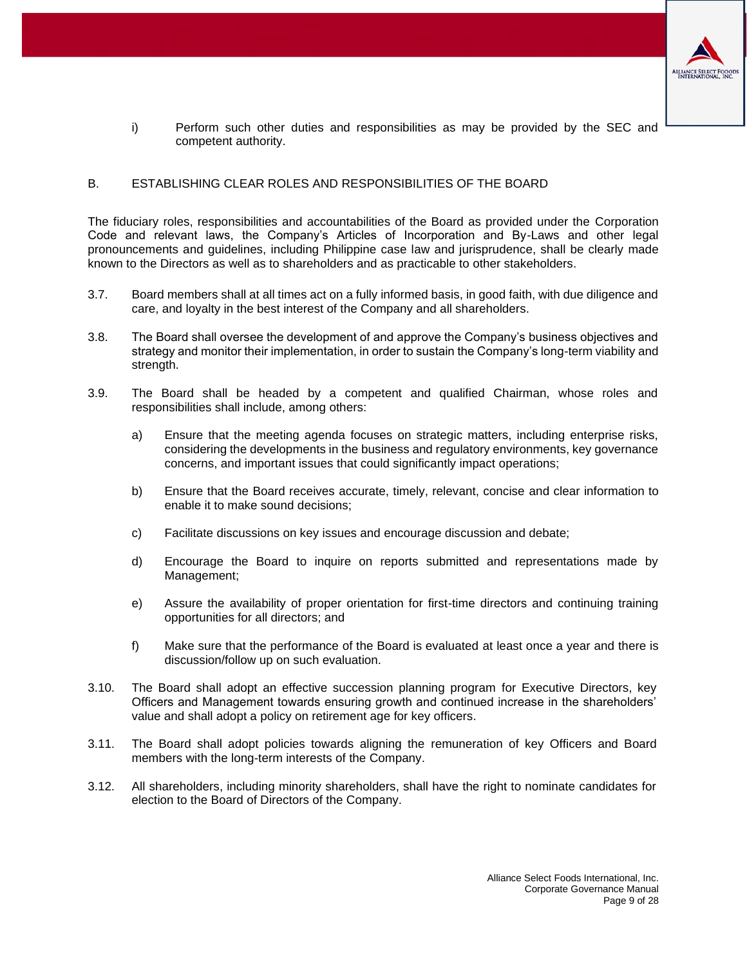

i) Perform such other duties and responsibilities as may be provided by the SEC and competent authority.

### B. ESTABLISHING CLEAR ROLES AND RESPONSIBILITIES OF THE BOARD

The fiduciary roles, responsibilities and accountabilities of the Board as provided under the Corporation Code and relevant laws, the Company's Articles of Incorporation and By-Laws and other legal pronouncements and guidelines, including Philippine case law and jurisprudence, shall be clearly made known to the Directors as well as to shareholders and as practicable to other stakeholders.

- 3.7. Board members shall at all times act on a fully informed basis, in good faith, with due diligence and care, and loyalty in the best interest of the Company and all shareholders.
- 3.8. The Board shall oversee the development of and approve the Company's business objectives and strategy and monitor their implementation, in order to sustain the Company's long-term viability and strength.
- 3.9. The Board shall be headed by a competent and qualified Chairman, whose roles and responsibilities shall include, among others:
	- a) Ensure that the meeting agenda focuses on strategic matters, including enterprise risks, considering the developments in the business and regulatory environments, key governance concerns, and important issues that could significantly impact operations;
	- b) Ensure that the Board receives accurate, timely, relevant, concise and clear information to enable it to make sound decisions;
	- c) Facilitate discussions on key issues and encourage discussion and debate;
	- d) Encourage the Board to inquire on reports submitted and representations made by Management;
	- e) Assure the availability of proper orientation for first-time directors and continuing training opportunities for all directors; and
	- f) Make sure that the performance of the Board is evaluated at least once a year and there is discussion/follow up on such evaluation.
- 3.10. The Board shall adopt an effective succession planning program for Executive Directors, key Officers and Management towards ensuring growth and continued increase in the shareholders' value and shall adopt a policy on retirement age for key officers.
- 3.11. The Board shall adopt policies towards aligning the remuneration of key Officers and Board members with the long-term interests of the Company.
- 3.12. All shareholders, including minority shareholders, shall have the right to nominate candidates for election to the Board of Directors of the Company.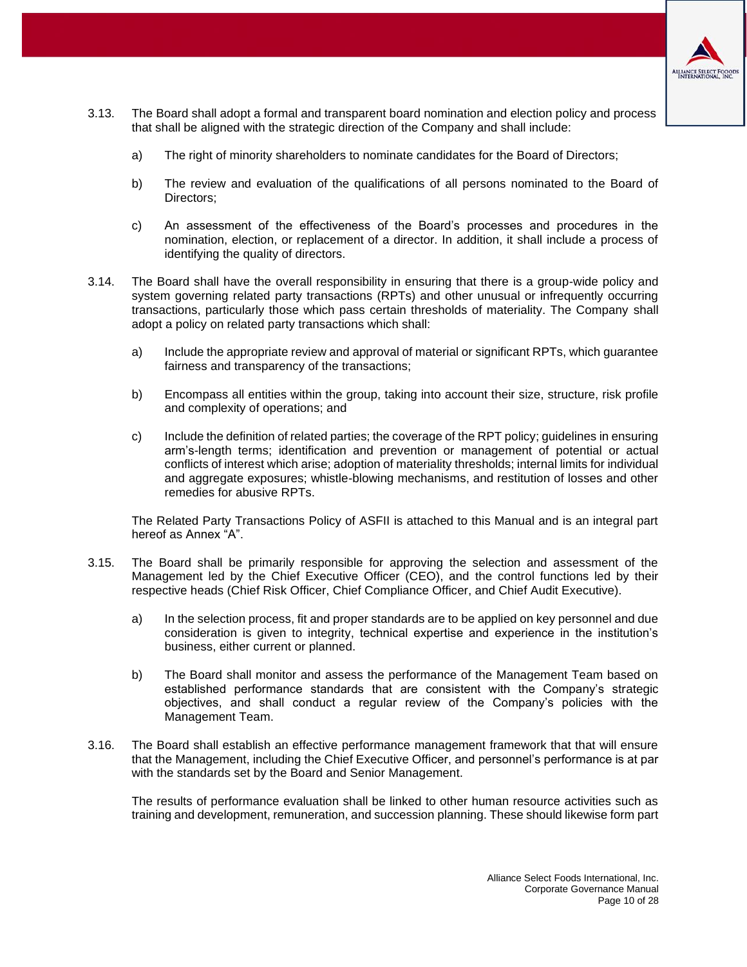

- 3.13. The Board shall adopt a formal and transparent board nomination and election policy and process that shall be aligned with the strategic direction of the Company and shall include:
	- a) The right of minority shareholders to nominate candidates for the Board of Directors;
	- b) The review and evaluation of the qualifications of all persons nominated to the Board of Directors;
	- c) An assessment of the effectiveness of the Board's processes and procedures in the nomination, election, or replacement of a director. In addition, it shall include a process of identifying the quality of directors.
- 3.14. The Board shall have the overall responsibility in ensuring that there is a group-wide policy and system governing related party transactions (RPTs) and other unusual or infrequently occurring transactions, particularly those which pass certain thresholds of materiality. The Company shall adopt a policy on related party transactions which shall:
	- a) Include the appropriate review and approval of material or significant RPTs, which guarantee fairness and transparency of the transactions;
	- b) Encompass all entities within the group, taking into account their size, structure, risk profile and complexity of operations; and
	- c) Include the definition of related parties; the coverage of the RPT policy; guidelines in ensuring arm's-length terms; identification and prevention or management of potential or actual conflicts of interest which arise; adoption of materiality thresholds; internal limits for individual and aggregate exposures; whistle-blowing mechanisms, and restitution of losses and other remedies for abusive RPTs.

The Related Party Transactions Policy of ASFII is attached to this Manual and is an integral part hereof as Annex "A".

- 3.15. The Board shall be primarily responsible for approving the selection and assessment of the Management led by the Chief Executive Officer (CEO), and the control functions led by their respective heads (Chief Risk Officer, Chief Compliance Officer, and Chief Audit Executive).
	- a) In the selection process, fit and proper standards are to be applied on key personnel and due consideration is given to integrity, technical expertise and experience in the institution's business, either current or planned.
	- b) The Board shall monitor and assess the performance of the Management Team based on established performance standards that are consistent with the Company's strategic objectives, and shall conduct a regular review of the Company's policies with the Management Team.
- 3.16. The Board shall establish an effective performance management framework that that will ensure that the Management, including the Chief Executive Officer, and personnel's performance is at par with the standards set by the Board and Senior Management.

The results of performance evaluation shall be linked to other human resource activities such as training and development, remuneration, and succession planning. These should likewise form part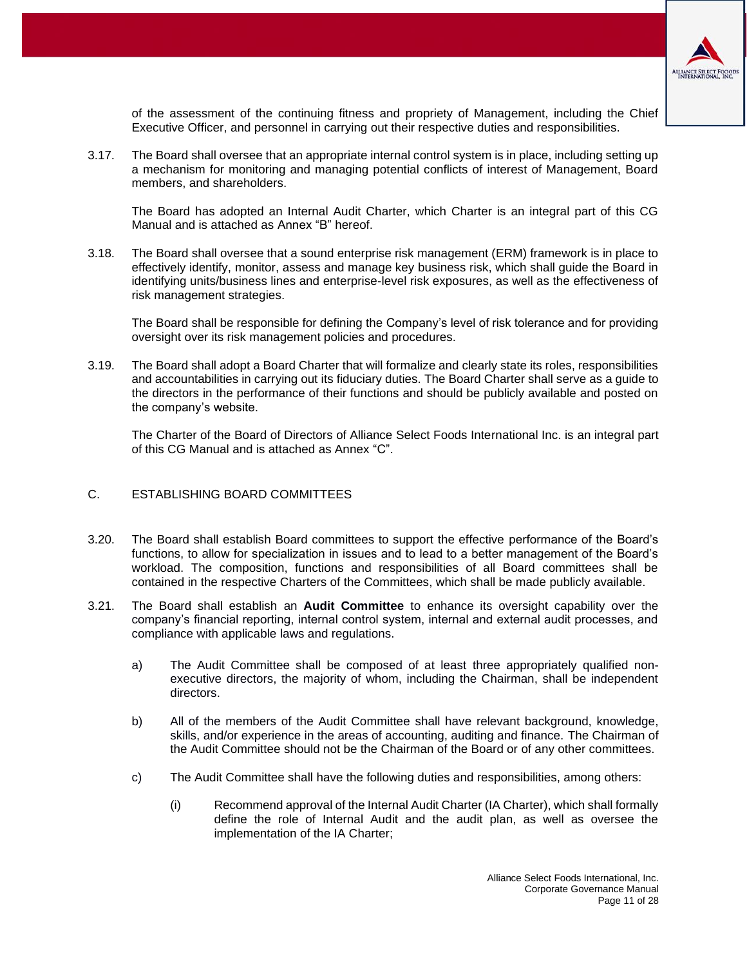

of the assessment of the continuing fitness and propriety of Management, including the Chief Executive Officer, and personnel in carrying out their respective duties and responsibilities.

3.17. The Board shall oversee that an appropriate internal control system is in place, including setting up a mechanism for monitoring and managing potential conflicts of interest of Management, Board members, and shareholders.

The Board has adopted an Internal Audit Charter, which Charter is an integral part of this CG Manual and is attached as Annex "B" hereof.

3.18. The Board shall oversee that a sound enterprise risk management (ERM) framework is in place to effectively identify, monitor, assess and manage key business risk, which shall guide the Board in identifying units/business lines and enterprise-level risk exposures, as well as the effectiveness of risk management strategies.

The Board shall be responsible for defining the Company's level of risk tolerance and for providing oversight over its risk management policies and procedures.

3.19. The Board shall adopt a Board Charter that will formalize and clearly state its roles, responsibilities and accountabilities in carrying out its fiduciary duties. The Board Charter shall serve as a guide to the directors in the performance of their functions and should be publicly available and posted on the company's website.

The Charter of the Board of Directors of Alliance Select Foods International Inc. is an integral part of this CG Manual and is attached as Annex "C".

#### C. ESTABLISHING BOARD COMMITTEES

- 3.20. The Board shall establish Board committees to support the effective performance of the Board's functions, to allow for specialization in issues and to lead to a better management of the Board's workload. The composition, functions and responsibilities of all Board committees shall be contained in the respective Charters of the Committees, which shall be made publicly available.
- 3.21. The Board shall establish an **Audit Committee** to enhance its oversight capability over the company's financial reporting, internal control system, internal and external audit processes, and compliance with applicable laws and regulations.
	- a) The Audit Committee shall be composed of at least three appropriately qualified nonexecutive directors, the majority of whom, including the Chairman, shall be independent directors.
	- b) All of the members of the Audit Committee shall have relevant background, knowledge, skills, and/or experience in the areas of accounting, auditing and finance. The Chairman of the Audit Committee should not be the Chairman of the Board or of any other committees.
	- c) The Audit Committee shall have the following duties and responsibilities, among others:
		- (i) Recommend approval of the Internal Audit Charter (IA Charter), which shall formally define the role of Internal Audit and the audit plan, as well as oversee the implementation of the IA Charter;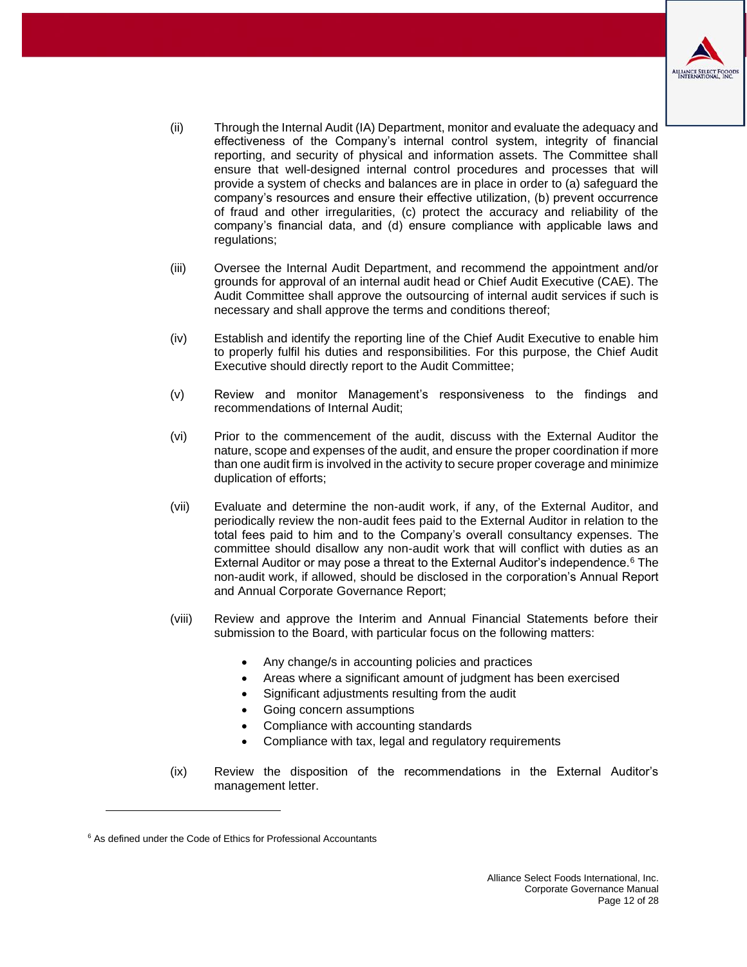

- (ii) Through the Internal Audit (IA) Department, monitor and evaluate the adequacy and effectiveness of the Company's internal control system, integrity of financial reporting, and security of physical and information assets. The Committee shall ensure that well-designed internal control procedures and processes that will provide a system of checks and balances are in place in order to (a) safeguard the company's resources and ensure their effective utilization, (b) prevent occurrence of fraud and other irregularities, (c) protect the accuracy and reliability of the company's financial data, and (d) ensure compliance with applicable laws and regulations;
- (iii) Oversee the Internal Audit Department, and recommend the appointment and/or grounds for approval of an internal audit head or Chief Audit Executive (CAE). The Audit Committee shall approve the outsourcing of internal audit services if such is necessary and shall approve the terms and conditions thereof;
- (iv) Establish and identify the reporting line of the Chief Audit Executive to enable him to properly fulfil his duties and responsibilities. For this purpose, the Chief Audit Executive should directly report to the Audit Committee;
- (v) Review and monitor Management's responsiveness to the findings and recommendations of Internal Audit;
- (vi) Prior to the commencement of the audit, discuss with the External Auditor the nature, scope and expenses of the audit, and ensure the proper coordination if more than one audit firm is involved in the activity to secure proper coverage and minimize duplication of efforts;
- (vii) Evaluate and determine the non-audit work, if any, of the External Auditor, and periodically review the non-audit fees paid to the External Auditor in relation to the total fees paid to him and to the Company's overall consultancy expenses. The committee should disallow any non-audit work that will conflict with duties as an External Auditor or may pose a threat to the External Auditor's independence.<sup>6</sup> The non-audit work, if allowed, should be disclosed in the corporation's Annual Report and Annual Corporate Governance Report;
- (viii) Review and approve the Interim and Annual Financial Statements before their submission to the Board, with particular focus on the following matters:
	- Any change/s in accounting policies and practices
	- Areas where a significant amount of judgment has been exercised
	- Significant adjustments resulting from the audit
	- Going concern assumptions
	- Compliance with accounting standards
	- Compliance with tax, legal and regulatory requirements
- (ix) Review the disposition of the recommendations in the External Auditor's management letter.

<sup>&</sup>lt;sup>6</sup> As defined under the Code of Ethics for Professional Accountants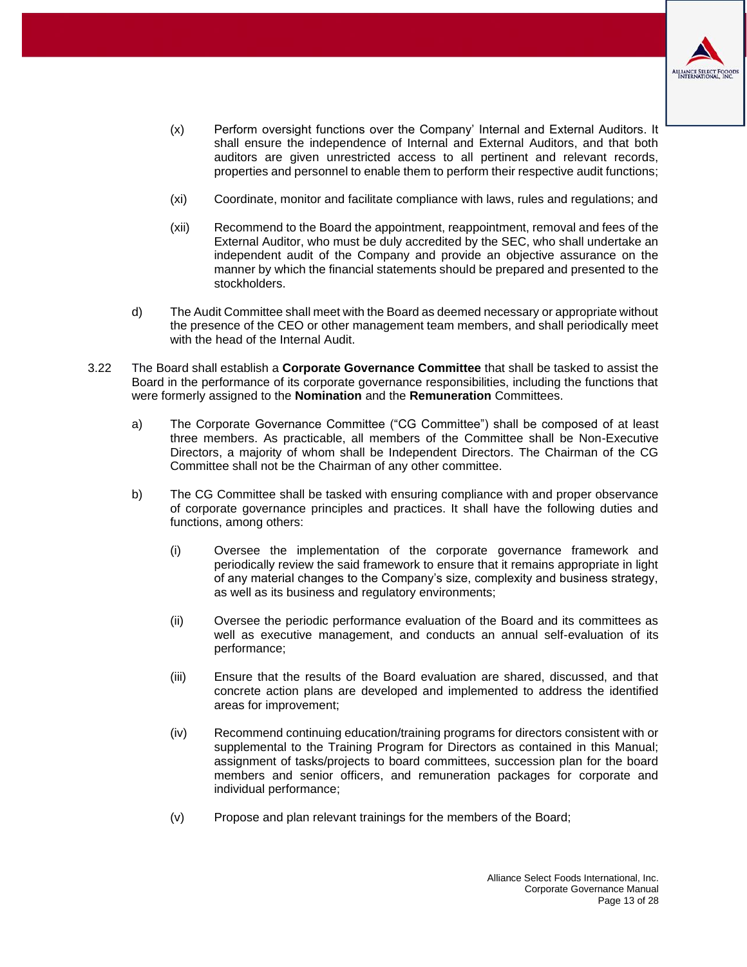

- (x) Perform oversight functions over the Company' Internal and External Auditors. It shall ensure the independence of Internal and External Auditors, and that both auditors are given unrestricted access to all pertinent and relevant records, properties and personnel to enable them to perform their respective audit functions;
- (xi) Coordinate, monitor and facilitate compliance with laws, rules and regulations; and
- (xii) Recommend to the Board the appointment, reappointment, removal and fees of the External Auditor, who must be duly accredited by the SEC, who shall undertake an independent audit of the Company and provide an objective assurance on the manner by which the financial statements should be prepared and presented to the stockholders.
- d) The Audit Committee shall meet with the Board as deemed necessary or appropriate without the presence of the CEO or other management team members, and shall periodically meet with the head of the Internal Audit.
- 3.22 The Board shall establish a **Corporate Governance Committee** that shall be tasked to assist the Board in the performance of its corporate governance responsibilities, including the functions that were formerly assigned to the **Nomination** and the **Remuneration** Committees.
	- a) The Corporate Governance Committee ("CG Committee") shall be composed of at least three members. As practicable, all members of the Committee shall be Non-Executive Directors, a majority of whom shall be Independent Directors. The Chairman of the CG Committee shall not be the Chairman of any other committee.
	- b) The CG Committee shall be tasked with ensuring compliance with and proper observance of corporate governance principles and practices. It shall have the following duties and functions, among others:
		- (i) Oversee the implementation of the corporate governance framework and periodically review the said framework to ensure that it remains appropriate in light of any material changes to the Company's size, complexity and business strategy, as well as its business and regulatory environments;
		- (ii) Oversee the periodic performance evaluation of the Board and its committees as well as executive management, and conducts an annual self-evaluation of its performance;
		- (iii) Ensure that the results of the Board evaluation are shared, discussed, and that concrete action plans are developed and implemented to address the identified areas for improvement;
		- (iv) Recommend continuing education/training programs for directors consistent with or supplemental to the Training Program for Directors as contained in this Manual; assignment of tasks/projects to board committees, succession plan for the board members and senior officers, and remuneration packages for corporate and individual performance;
		- (v) Propose and plan relevant trainings for the members of the Board;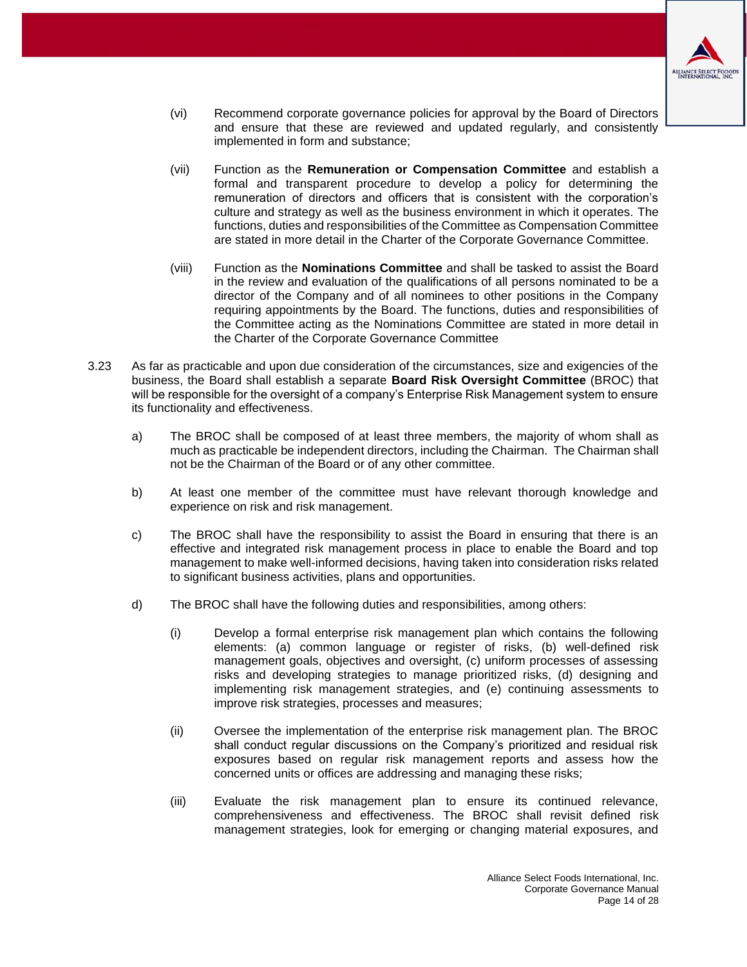

- (vi) Recommend corporate governance policies for approval by the Board of Directors and ensure that these are reviewed and updated regularly, and consistently implemented in form and substance;
- (vii) Function as the **Remuneration or Compensation Committee** and establish a formal and transparent procedure to develop a policy for determining the remuneration of directors and officers that is consistent with the corporation's culture and strategy as well as the business environment in which it operates. The functions, duties and responsibilities of the Committee as Compensation Committee are stated in more detail in the Charter of the Corporate Governance Committee.
- (viii) Function as the **Nominations Committee** and shall be tasked to assist the Board in the review and evaluation of the qualifications of all persons nominated to be a director of the Company and of all nominees to other positions in the Company requiring appointments by the Board. The functions, duties and responsibilities of the Committee acting as the Nominations Committee are stated in more detail in the Charter of the Corporate Governance Committee
- 3.23 As far as practicable and upon due consideration of the circumstances, size and exigencies of the business, the Board shall establish a separate **Board Risk Oversight Committee** (BROC) that will be responsible for the oversight of a company's Enterprise Risk Management system to ensure its functionality and effectiveness.
	- a) The BROC shall be composed of at least three members, the majority of whom shall as much as practicable be independent directors, including the Chairman. The Chairman shall not be the Chairman of the Board or of any other committee.
	- b) At least one member of the committee must have relevant thorough knowledge and experience on risk and risk management.
	- c) The BROC shall have the responsibility to assist the Board in ensuring that there is an effective and integrated risk management process in place to enable the Board and top management to make well-informed decisions, having taken into consideration risks related to significant business activities, plans and opportunities.
	- d) The BROC shall have the following duties and responsibilities, among others:
		- (i) Develop a formal enterprise risk management plan which contains the following elements: (a) common language or register of risks, (b) well-defined risk management goals, objectives and oversight, (c) uniform processes of assessing risks and developing strategies to manage prioritized risks, (d) designing and implementing risk management strategies, and (e) continuing assessments to improve risk strategies, processes and measures;
		- (ii) Oversee the implementation of the enterprise risk management plan. The BROC shall conduct regular discussions on the Company's prioritized and residual risk exposures based on regular risk management reports and assess how the concerned units or offices are addressing and managing these risks;
		- (iii) Evaluate the risk management plan to ensure its continued relevance, comprehensiveness and effectiveness. The BROC shall revisit defined risk management strategies, look for emerging or changing material exposures, and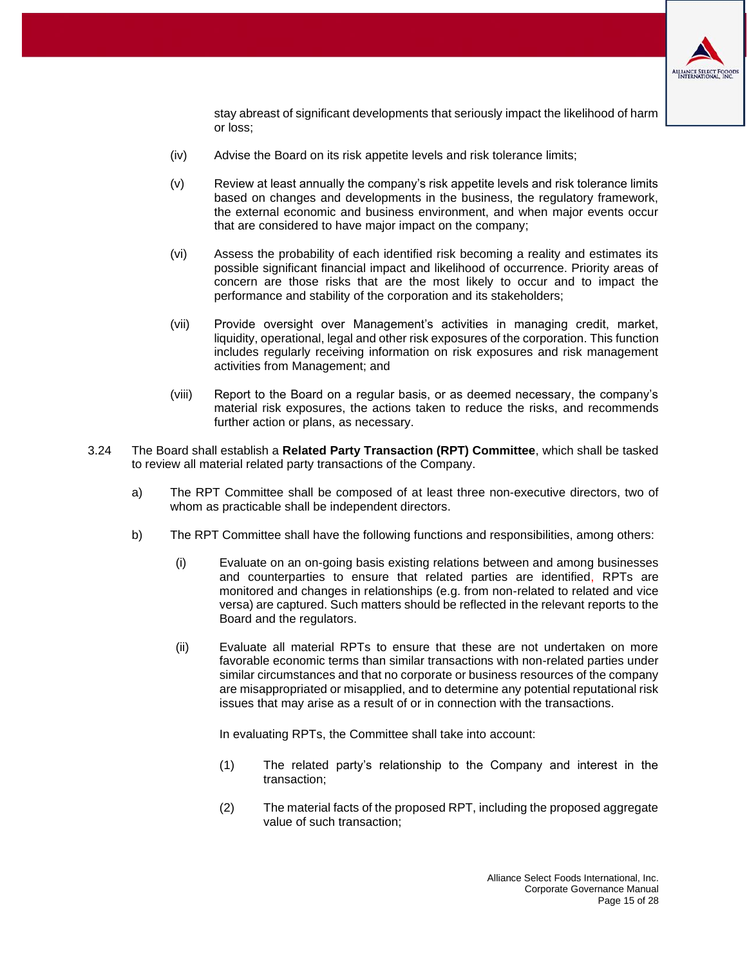

stay abreast of significant developments that seriously impact the likelihood of harm or loss;

- (iv) Advise the Board on its risk appetite levels and risk tolerance limits;
- (v) Review at least annually the company's risk appetite levels and risk tolerance limits based on changes and developments in the business, the regulatory framework, the external economic and business environment, and when major events occur that are considered to have major impact on the company;
- (vi) Assess the probability of each identified risk becoming a reality and estimates its possible significant financial impact and likelihood of occurrence. Priority areas of concern are those risks that are the most likely to occur and to impact the performance and stability of the corporation and its stakeholders;
- (vii) Provide oversight over Management's activities in managing credit, market, liquidity, operational, legal and other risk exposures of the corporation. This function includes regularly receiving information on risk exposures and risk management activities from Management; and
- (viii) Report to the Board on a regular basis, or as deemed necessary, the company's material risk exposures, the actions taken to reduce the risks, and recommends further action or plans, as necessary.
- 3.24 The Board shall establish a **Related Party Transaction (RPT) Committee**, which shall be tasked to review all material related party transactions of the Company.
	- a) The RPT Committee shall be composed of at least three non-executive directors, two of whom as practicable shall be independent directors.
	- b) The RPT Committee shall have the following functions and responsibilities, among others:
		- (i) Evaluate on an on-going basis existing relations between and among businesses and counterparties to ensure that related parties are identified, RPTs are monitored and changes in relationships (e.g. from non-related to related and vice versa) are captured. Such matters should be reflected in the relevant reports to the Board and the regulators.
		- (ii) Evaluate all material RPTs to ensure that these are not undertaken on more favorable economic terms than similar transactions with non-related parties under similar circumstances and that no corporate or business resources of the company are misappropriated or misapplied, and to determine any potential reputational risk issues that may arise as a result of or in connection with the transactions.

In evaluating RPTs, the Committee shall take into account:

- (1) The related party's relationship to the Company and interest in the transaction;
- (2) The material facts of the proposed RPT, including the proposed aggregate value of such transaction;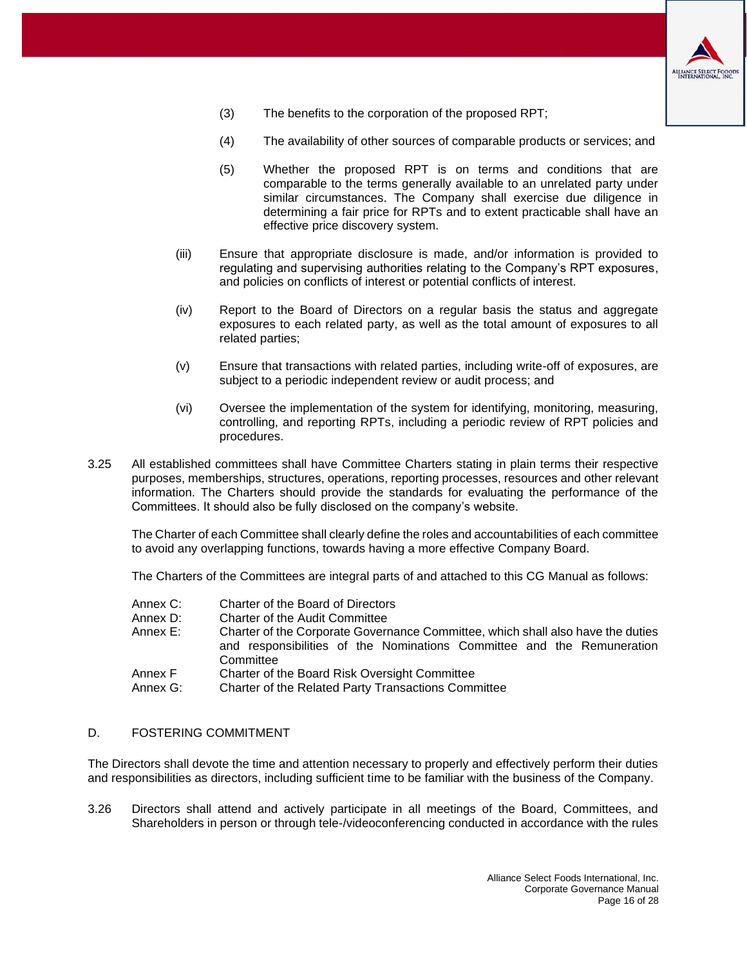

- (3) The benefits to the corporation of the proposed RPT;
- (4) The availability of other sources of comparable products or services; and
- (5) Whether the proposed RPT is on terms and conditions that are comparable to the terms generally available to an unrelated party under similar circumstances. The Company shall exercise due diligence in determining a fair price for RPTs and to extent practicable shall have an effective price discovery system.
- (iii) Ensure that appropriate disclosure is made, and/or information is provided to regulating and supervising authorities relating to the Company's RPT exposures, and policies on conflicts of interest or potential conflicts of interest.
- (iv) Report to the Board of Directors on a regular basis the status and aggregate exposures to each related party, as well as the total amount of exposures to all related parties;
- (v) Ensure that transactions with related parties, including write-off of exposures, are subject to a periodic independent review or audit process; and
- (vi) Oversee the implementation of the system for identifying, monitoring, measuring, controlling, and reporting RPTs, including a periodic review of RPT policies and procedures.
- 3.25 All established committees shall have Committee Charters stating in plain terms their respective purposes, memberships, structures, operations, reporting processes, resources and other relevant information. The Charters should provide the standards for evaluating the performance of the Committees. It should also be fully disclosed on the company's website.

The Charter of each Committee shall clearly define the roles and accountabilities of each committee to avoid any overlapping functions, towards having a more effective Company Board.

The Charters of the Committees are integral parts of and attached to this CG Manual as follows:

- Annex C: Charter of the Board of Directors
- Annex D: Charter of the Audit Committee
- Annex E: Charter of the Corporate Governance Committee, which shall also have the duties and responsibilities of the Nominations Committee and the Remuneration **Committee**
- Annex F Charter of the Board Risk Oversight Committee
- Annex G: Charter of the Related Party Transactions Committee

### D. FOSTERING COMMITMENT

The Directors shall devote the time and attention necessary to properly and effectively perform their duties and responsibilities as directors, including sufficient time to be familiar with the business of the Company.

3.26 Directors shall attend and actively participate in all meetings of the Board, Committees, and Shareholders in person or through tele-/videoconferencing conducted in accordance with the rules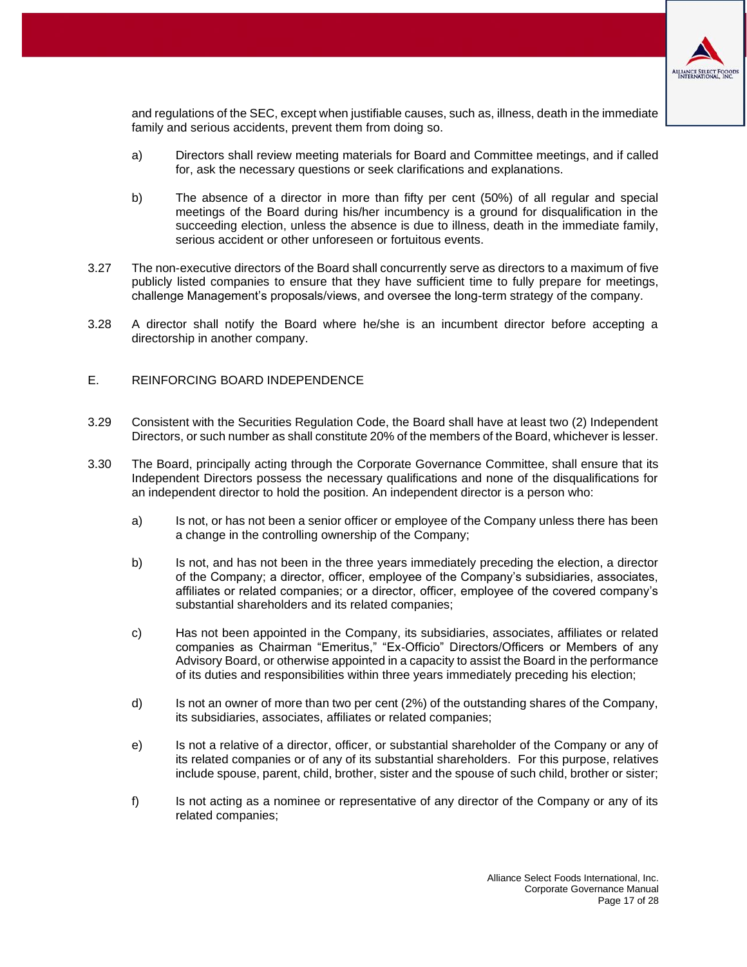

and regulations of the SEC, except when justifiable causes, such as, illness, death in the immediate family and serious accidents, prevent them from doing so.

- a) Directors shall review meeting materials for Board and Committee meetings, and if called for, ask the necessary questions or seek clarifications and explanations.
- b) The absence of a director in more than fifty per cent (50%) of all regular and special meetings of the Board during his/her incumbency is a ground for disqualification in the succeeding election, unless the absence is due to illness, death in the immediate family, serious accident or other unforeseen or fortuitous events.
- 3.27 The non-executive directors of the Board shall concurrently serve as directors to a maximum of five publicly listed companies to ensure that they have sufficient time to fully prepare for meetings, challenge Management's proposals/views, and oversee the long-term strategy of the company.
- 3.28 A director shall notify the Board where he/she is an incumbent director before accepting a directorship in another company.

#### E. REINFORCING BOARD INDEPENDENCE

- 3.29 Consistent with the Securities Regulation Code, the Board shall have at least two (2) Independent Directors, or such number as shall constitute 20% of the members of the Board, whichever is lesser.
- 3.30 The Board, principally acting through the Corporate Governance Committee, shall ensure that its Independent Directors possess the necessary qualifications and none of the disqualifications for an independent director to hold the position. An independent director is a person who:
	- a) Is not, or has not been a senior officer or employee of the Company unless there has been a change in the controlling ownership of the Company;
	- b) Is not, and has not been in the three years immediately preceding the election, a director of the Company; a director, officer, employee of the Company's subsidiaries, associates, affiliates or related companies; or a director, officer, employee of the covered company's substantial shareholders and its related companies;
	- c) Has not been appointed in the Company, its subsidiaries, associates, affiliates or related companies as Chairman "Emeritus," "Ex-Officio" Directors/Officers or Members of any Advisory Board, or otherwise appointed in a capacity to assist the Board in the performance of its duties and responsibilities within three years immediately preceding his election;
	- d) Is not an owner of more than two per cent (2%) of the outstanding shares of the Company, its subsidiaries, associates, affiliates or related companies;
	- e) Is not a relative of a director, officer, or substantial shareholder of the Company or any of its related companies or of any of its substantial shareholders. For this purpose, relatives include spouse, parent, child, brother, sister and the spouse of such child, brother or sister;
	- f) Is not acting as a nominee or representative of any director of the Company or any of its related companies;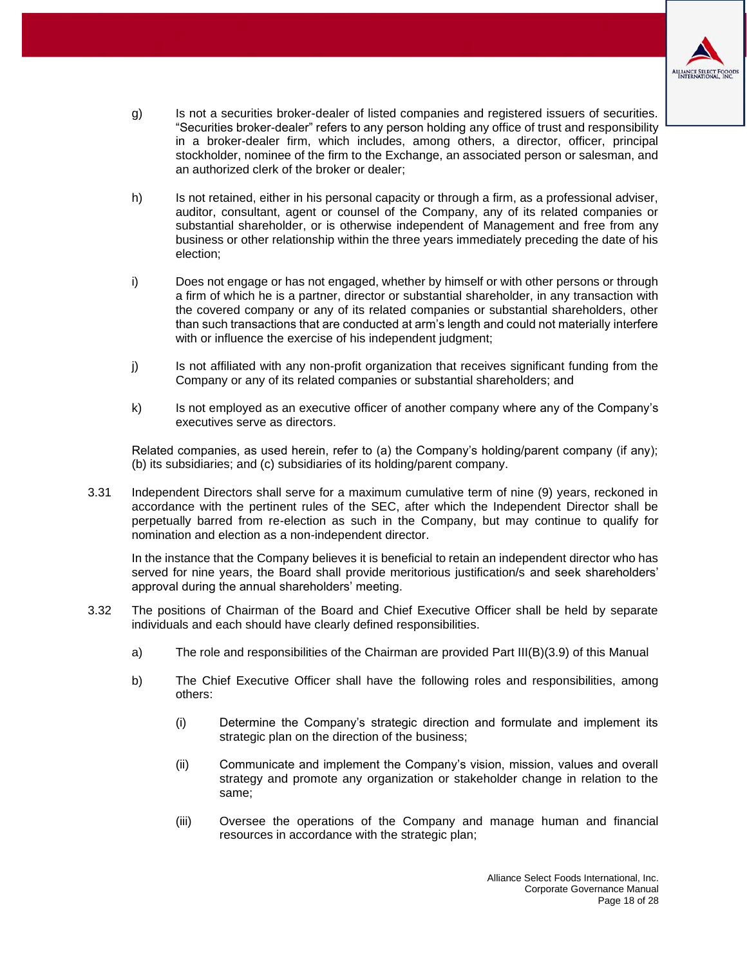

- g) Is not a securities broker-dealer of listed companies and registered issuers of securities. "Securities broker-dealer" refers to any person holding any office of trust and responsibility in a broker-dealer firm, which includes, among others, a director, officer, principal stockholder, nominee of the firm to the Exchange, an associated person or salesman, and an authorized clerk of the broker or dealer;
- h) Is not retained, either in his personal capacity or through a firm, as a professional adviser, auditor, consultant, agent or counsel of the Company, any of its related companies or substantial shareholder, or is otherwise independent of Management and free from any business or other relationship within the three years immediately preceding the date of his election;
- i) Does not engage or has not engaged, whether by himself or with other persons or through a firm of which he is a partner, director or substantial shareholder, in any transaction with the covered company or any of its related companies or substantial shareholders, other than such transactions that are conducted at arm's length and could not materially interfere with or influence the exercise of his independent judgment;
- j) Is not affiliated with any non-profit organization that receives significant funding from the Company or any of its related companies or substantial shareholders; and
- k) Is not employed as an executive officer of another company where any of the Company's executives serve as directors.

Related companies, as used herein, refer to (a) the Company's holding/parent company (if any); (b) its subsidiaries; and (c) subsidiaries of its holding/parent company.

3.31 Independent Directors shall serve for a maximum cumulative term of nine (9) years, reckoned in accordance with the pertinent rules of the SEC, after which the Independent Director shall be perpetually barred from re-election as such in the Company, but may continue to qualify for nomination and election as a non-independent director.

In the instance that the Company believes it is beneficial to retain an independent director who has served for nine years, the Board shall provide meritorious justification/s and seek shareholders' approval during the annual shareholders' meeting.

- 3.32 The positions of Chairman of the Board and Chief Executive Officer shall be held by separate individuals and each should have clearly defined responsibilities.
	- a) The role and responsibilities of the Chairman are provided Part III(B)(3.9) of this Manual
	- b) The Chief Executive Officer shall have the following roles and responsibilities, among others:
		- (i) Determine the Company's strategic direction and formulate and implement its strategic plan on the direction of the business;
		- (ii) Communicate and implement the Company's vision, mission, values and overall strategy and promote any organization or stakeholder change in relation to the same;
		- (iii) Oversee the operations of the Company and manage human and financial resources in accordance with the strategic plan;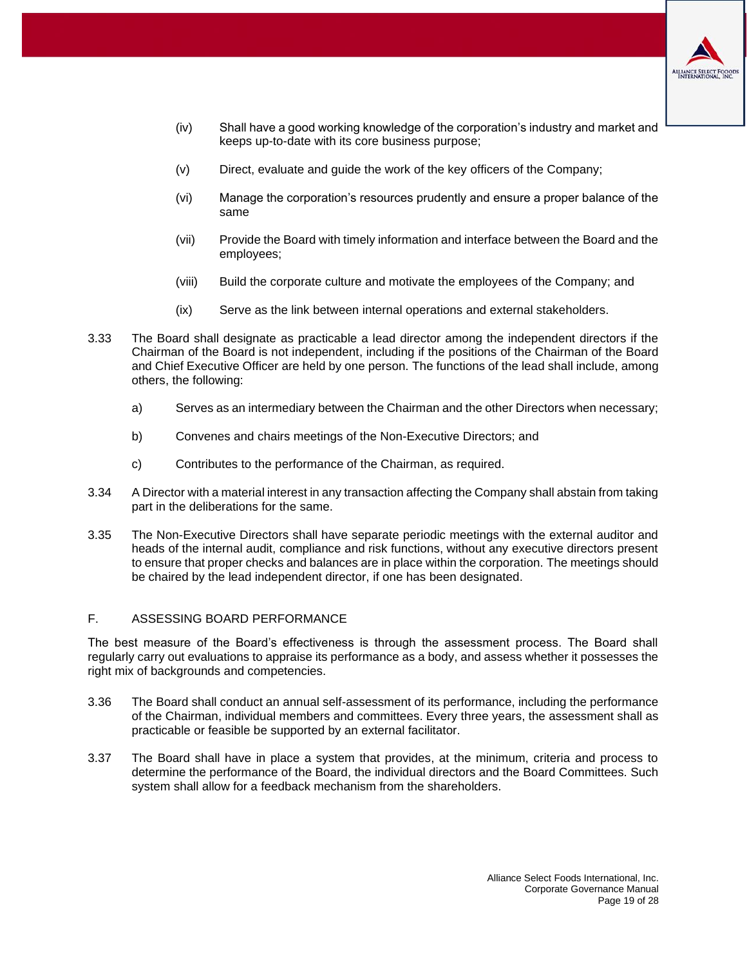

- (iv) Shall have a good working knowledge of the corporation's industry and market and keeps up-to-date with its core business purpose;
- (v) Direct, evaluate and guide the work of the key officers of the Company;
- (vi) Manage the corporation's resources prudently and ensure a proper balance of the same
- (vii) Provide the Board with timely information and interface between the Board and the employees;
- (viii) Build the corporate culture and motivate the employees of the Company; and
- (ix) Serve as the link between internal operations and external stakeholders.
- 3.33 The Board shall designate as practicable a lead director among the independent directors if the Chairman of the Board is not independent, including if the positions of the Chairman of the Board and Chief Executive Officer are held by one person. The functions of the lead shall include, among others, the following:
	- a) Serves as an intermediary between the Chairman and the other Directors when necessary;
	- b) Convenes and chairs meetings of the Non-Executive Directors; and
	- c) Contributes to the performance of the Chairman, as required.
- 3.34 A Director with a material interest in any transaction affecting the Company shall abstain from taking part in the deliberations for the same.
- 3.35 The Non-Executive Directors shall have separate periodic meetings with the external auditor and heads of the internal audit, compliance and risk functions, without any executive directors present to ensure that proper checks and balances are in place within the corporation. The meetings should be chaired by the lead independent director, if one has been designated.

## F. ASSESSING BOARD PERFORMANCE

The best measure of the Board's effectiveness is through the assessment process. The Board shall regularly carry out evaluations to appraise its performance as a body, and assess whether it possesses the right mix of backgrounds and competencies.

- 3.36 The Board shall conduct an annual self-assessment of its performance, including the performance of the Chairman, individual members and committees. Every three years, the assessment shall as practicable or feasible be supported by an external facilitator.
- 3.37 The Board shall have in place a system that provides, at the minimum, criteria and process to determine the performance of the Board, the individual directors and the Board Committees. Such system shall allow for a feedback mechanism from the shareholders.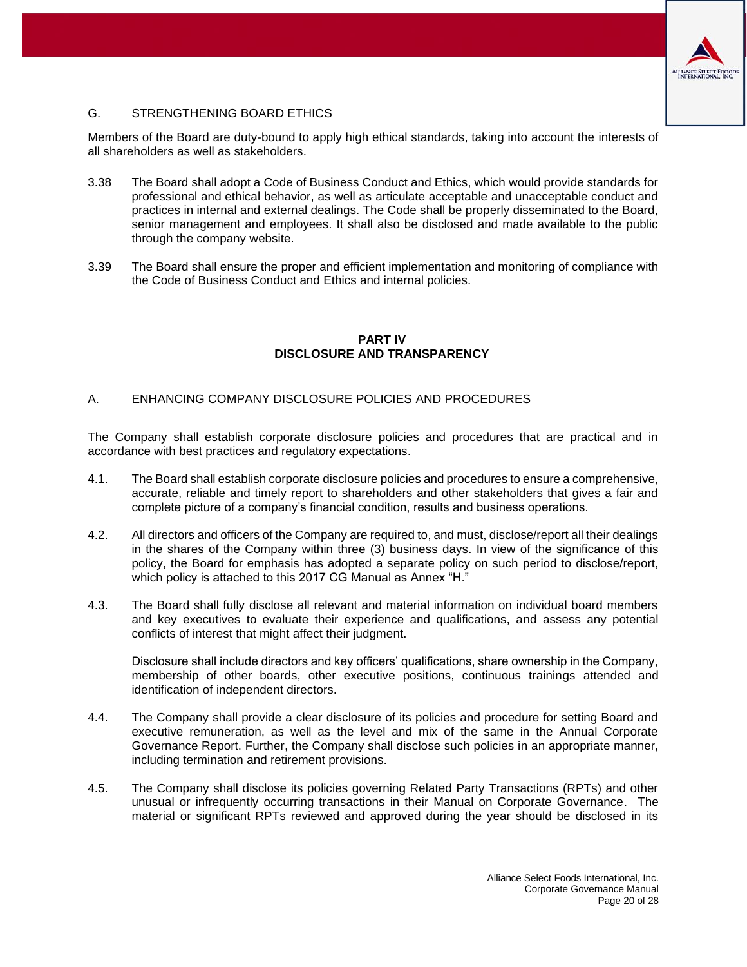

# G. STRENGTHENING BOARD ETHICS

Members of the Board are duty-bound to apply high ethical standards, taking into account the interests of all shareholders as well as stakeholders.

- 3.38 The Board shall adopt a Code of Business Conduct and Ethics, which would provide standards for professional and ethical behavior, as well as articulate acceptable and unacceptable conduct and practices in internal and external dealings. The Code shall be properly disseminated to the Board, senior management and employees. It shall also be disclosed and made available to the public through the company website.
- 3.39 The Board shall ensure the proper and efficient implementation and monitoring of compliance with the Code of Business Conduct and Ethics and internal policies.

#### **PART IV DISCLOSURE AND TRANSPARENCY**

### A. ENHANCING COMPANY DISCLOSURE POLICIES AND PROCEDURES

The Company shall establish corporate disclosure policies and procedures that are practical and in accordance with best practices and regulatory expectations.

- 4.1. The Board shall establish corporate disclosure policies and procedures to ensure a comprehensive, accurate, reliable and timely report to shareholders and other stakeholders that gives a fair and complete picture of a company's financial condition, results and business operations.
- 4.2. All directors and officers of the Company are required to, and must, disclose/report all their dealings in the shares of the Company within three (3) business days. In view of the significance of this policy, the Board for emphasis has adopted a separate policy on such period to disclose/report, which policy is attached to this 2017 CG Manual as Annex "H."
- 4.3. The Board shall fully disclose all relevant and material information on individual board members and key executives to evaluate their experience and qualifications, and assess any potential conflicts of interest that might affect their judgment.

Disclosure shall include directors and key officers' qualifications, share ownership in the Company, membership of other boards, other executive positions, continuous trainings attended and identification of independent directors.

- 4.4. The Company shall provide a clear disclosure of its policies and procedure for setting Board and executive remuneration, as well as the level and mix of the same in the Annual Corporate Governance Report. Further, the Company shall disclose such policies in an appropriate manner, including termination and retirement provisions.
- 4.5. The Company shall disclose its policies governing Related Party Transactions (RPTs) and other unusual or infrequently occurring transactions in their Manual on Corporate Governance. The material or significant RPTs reviewed and approved during the year should be disclosed in its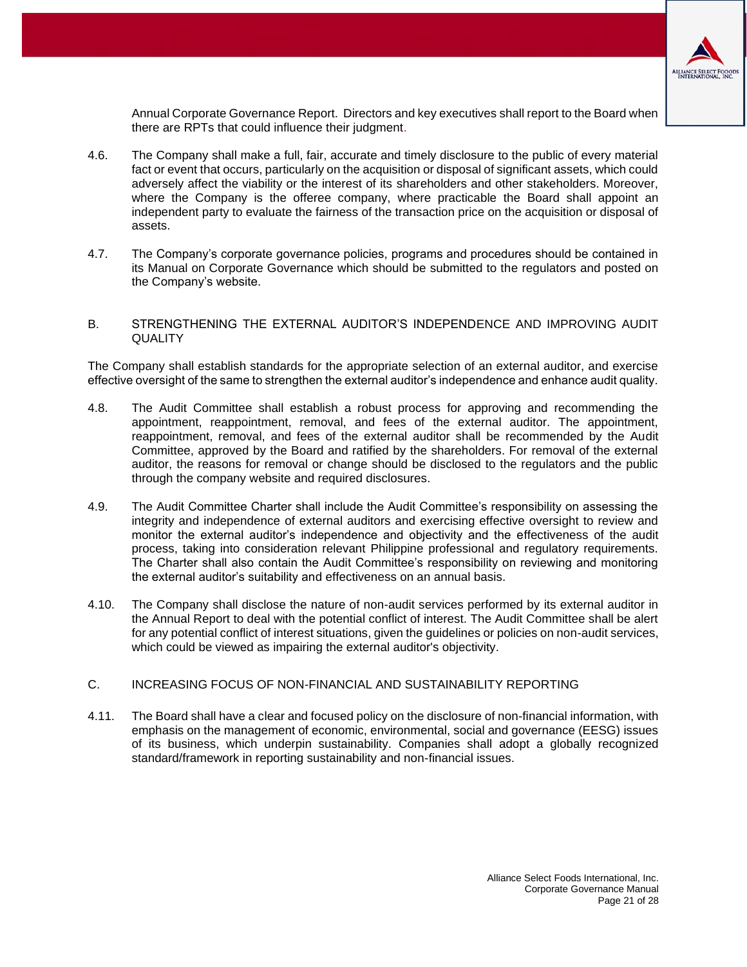

Annual Corporate Governance Report. Directors and key executives shall report to the Board when there are RPTs that could influence their judgment.

- 4.6. The Company shall make a full, fair, accurate and timely disclosure to the public of every material fact or event that occurs, particularly on the acquisition or disposal of significant assets, which could adversely affect the viability or the interest of its shareholders and other stakeholders. Moreover, where the Company is the offeree company, where practicable the Board shall appoint an independent party to evaluate the fairness of the transaction price on the acquisition or disposal of assets.
- 4.7. The Company's corporate governance policies, programs and procedures should be contained in its Manual on Corporate Governance which should be submitted to the regulators and posted on the Company's website.

#### B. STRENGTHENING THE EXTERNAL AUDITOR'S INDEPENDENCE AND IMPROVING AUDIT **QUALITY**

The Company shall establish standards for the appropriate selection of an external auditor, and exercise effective oversight of the same to strengthen the external auditor's independence and enhance audit quality.

- 4.8. The Audit Committee shall establish a robust process for approving and recommending the appointment, reappointment, removal, and fees of the external auditor. The appointment, reappointment, removal, and fees of the external auditor shall be recommended by the Audit Committee, approved by the Board and ratified by the shareholders. For removal of the external auditor, the reasons for removal or change should be disclosed to the regulators and the public through the company website and required disclosures.
- 4.9. The Audit Committee Charter shall include the Audit Committee's responsibility on assessing the integrity and independence of external auditors and exercising effective oversight to review and monitor the external auditor's independence and objectivity and the effectiveness of the audit process, taking into consideration relevant Philippine professional and regulatory requirements. The Charter shall also contain the Audit Committee's responsibility on reviewing and monitoring the external auditor's suitability and effectiveness on an annual basis.
- 4.10. The Company shall disclose the nature of non-audit services performed by its external auditor in the Annual Report to deal with the potential conflict of interest. The Audit Committee shall be alert for any potential conflict of interest situations, given the guidelines or policies on non-audit services, which could be viewed as impairing the external auditor's objectivity.

## C. INCREASING FOCUS OF NON-FINANCIAL AND SUSTAINABILITY REPORTING

4.11. The Board shall have a clear and focused policy on the disclosure of non-financial information, with emphasis on the management of economic, environmental, social and governance (EESG) issues of its business, which underpin sustainability. Companies shall adopt a globally recognized standard/framework in reporting sustainability and non-financial issues.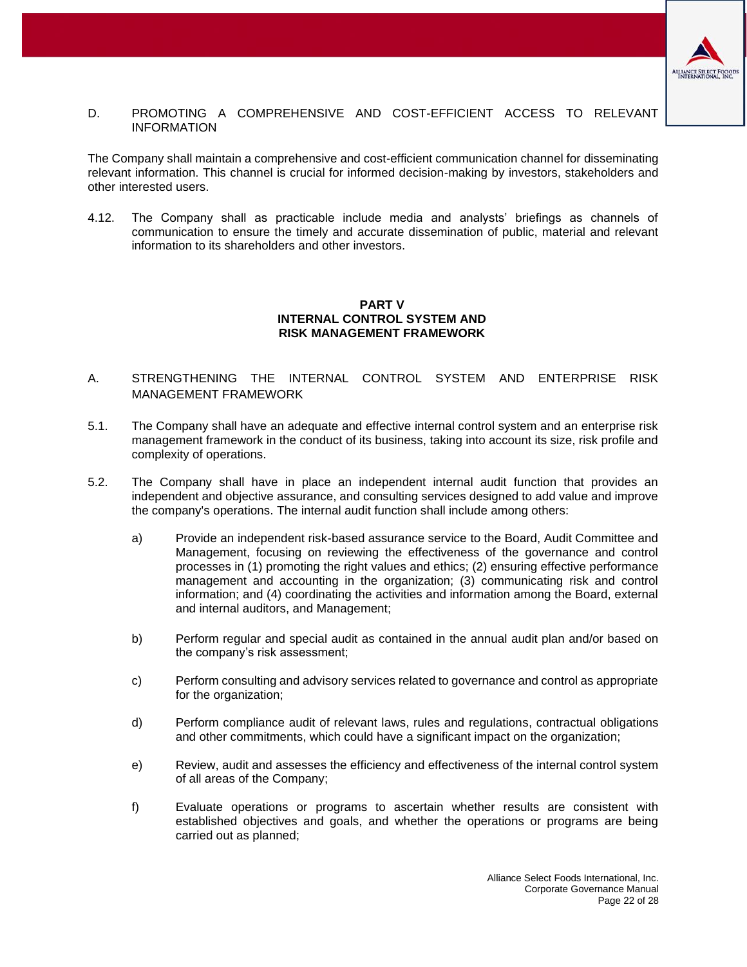

#### D. PROMOTING A COMPREHENSIVE AND COST-EFFICIENT ACCESS TO RELEVANT **INFORMATION**

The Company shall maintain a comprehensive and cost-efficient communication channel for disseminating relevant information. This channel is crucial for informed decision-making by investors, stakeholders and other interested users.

4.12. The Company shall as practicable include media and analysts' briefings as channels of communication to ensure the timely and accurate dissemination of public, material and relevant information to its shareholders and other investors.

#### **PART V INTERNAL CONTROL SYSTEM AND RISK MANAGEMENT FRAMEWORK**

## A. STRENGTHENING THE INTERNAL CONTROL SYSTEM AND ENTERPRISE RISK MANAGEMENT FRAMEWORK

- 5.1. The Company shall have an adequate and effective internal control system and an enterprise risk management framework in the conduct of its business, taking into account its size, risk profile and complexity of operations.
- 5.2. The Company shall have in place an independent internal audit function that provides an independent and objective assurance, and consulting services designed to add value and improve the company's operations. The internal audit function shall include among others:
	- a) Provide an independent risk-based assurance service to the Board, Audit Committee and Management, focusing on reviewing the effectiveness of the governance and control processes in (1) promoting the right values and ethics; (2) ensuring effective performance management and accounting in the organization; (3) communicating risk and control information; and (4) coordinating the activities and information among the Board, external and internal auditors, and Management;
	- b) Perform regular and special audit as contained in the annual audit plan and/or based on the company's risk assessment;
	- c) Perform consulting and advisory services related to governance and control as appropriate for the organization;
	- d) Perform compliance audit of relevant laws, rules and regulations, contractual obligations and other commitments, which could have a significant impact on the organization;
	- e) Review, audit and assesses the efficiency and effectiveness of the internal control system of all areas of the Company;
	- f) Evaluate operations or programs to ascertain whether results are consistent with established objectives and goals, and whether the operations or programs are being carried out as planned;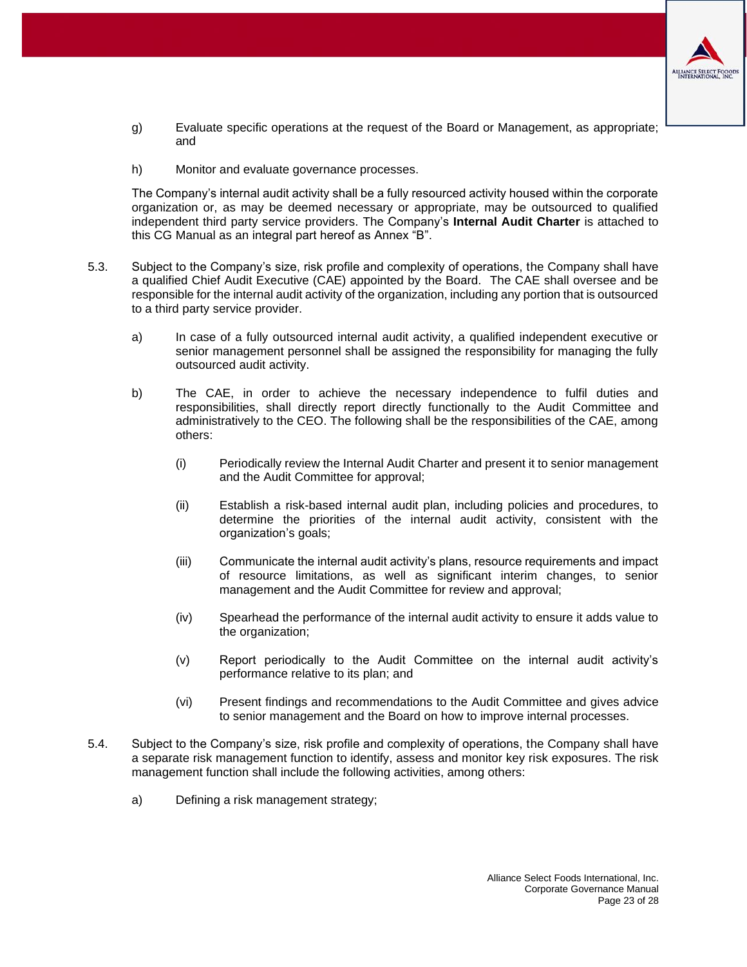

- g) Evaluate specific operations at the request of the Board or Management, as appropriate; and
- h) Monitor and evaluate governance processes.

The Company's internal audit activity shall be a fully resourced activity housed within the corporate organization or, as may be deemed necessary or appropriate, may be outsourced to qualified independent third party service providers. The Company's **Internal Audit Charter** is attached to this CG Manual as an integral part hereof as Annex "B".

- 5.3. Subject to the Company's size, risk profile and complexity of operations, the Company shall have a qualified Chief Audit Executive (CAE) appointed by the Board. The CAE shall oversee and be responsible for the internal audit activity of the organization, including any portion that is outsourced to a third party service provider.
	- a) In case of a fully outsourced internal audit activity, a qualified independent executive or senior management personnel shall be assigned the responsibility for managing the fully outsourced audit activity.
	- b) The CAE, in order to achieve the necessary independence to fulfil duties and responsibilities, shall directly report directly functionally to the Audit Committee and administratively to the CEO. The following shall be the responsibilities of the CAE, among others:
		- (i) Periodically review the Internal Audit Charter and present it to senior management and the Audit Committee for approval;
		- (ii) Establish a risk-based internal audit plan, including policies and procedures, to determine the priorities of the internal audit activity, consistent with the organization's goals;
		- (iii) Communicate the internal audit activity's plans, resource requirements and impact of resource limitations, as well as significant interim changes, to senior management and the Audit Committee for review and approval;
		- (iv) Spearhead the performance of the internal audit activity to ensure it adds value to the organization;
		- (v) Report periodically to the Audit Committee on the internal audit activity's performance relative to its plan; and
		- (vi) Present findings and recommendations to the Audit Committee and gives advice to senior management and the Board on how to improve internal processes.
- 5.4. Subject to the Company's size, risk profile and complexity of operations, the Company shall have a separate risk management function to identify, assess and monitor key risk exposures. The risk management function shall include the following activities, among others:
	- a) Defining a risk management strategy;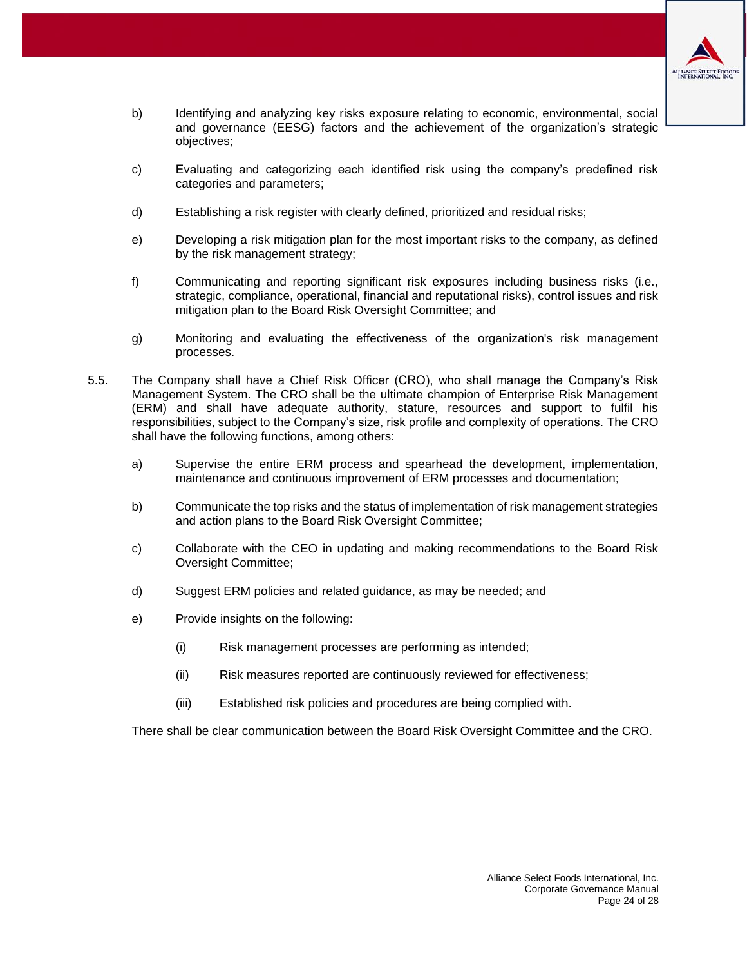

- b) Identifying and analyzing key risks exposure relating to economic, environmental, social and governance (EESG) factors and the achievement of the organization's strategic objectives;
- c) Evaluating and categorizing each identified risk using the company's predefined risk categories and parameters;
- d) Establishing a risk register with clearly defined, prioritized and residual risks;
- e) Developing a risk mitigation plan for the most important risks to the company, as defined by the risk management strategy;
- f) Communicating and reporting significant risk exposures including business risks (i.e., strategic, compliance, operational, financial and reputational risks), control issues and risk mitigation plan to the Board Risk Oversight Committee; and
- g) Monitoring and evaluating the effectiveness of the organization's risk management processes.
- 5.5. The Company shall have a Chief Risk Officer (CRO), who shall manage the Company's Risk Management System. The CRO shall be the ultimate champion of Enterprise Risk Management (ERM) and shall have adequate authority, stature, resources and support to fulfil his responsibilities, subject to the Company's size, risk profile and complexity of operations. The CRO shall have the following functions, among others:
	- a) Supervise the entire ERM process and spearhead the development, implementation, maintenance and continuous improvement of ERM processes and documentation;
	- b) Communicate the top risks and the status of implementation of risk management strategies and action plans to the Board Risk Oversight Committee;
	- c) Collaborate with the CEO in updating and making recommendations to the Board Risk Oversight Committee;
	- d) Suggest ERM policies and related guidance, as may be needed; and
	- e) Provide insights on the following:
		- (i) Risk management processes are performing as intended;
		- (ii) Risk measures reported are continuously reviewed for effectiveness;
		- (iii) Established risk policies and procedures are being complied with.

There shall be clear communication between the Board Risk Oversight Committee and the CRO.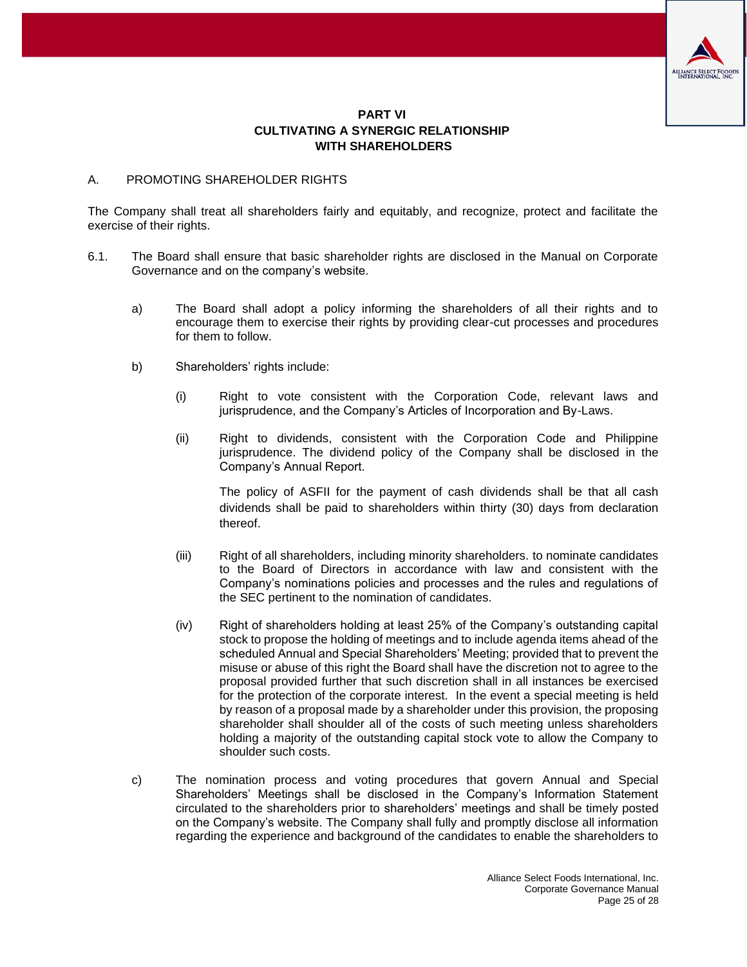

# **PART VI CULTIVATING A SYNERGIC RELATIONSHIP WITH SHAREHOLDERS**

#### A. PROMOTING SHAREHOLDER RIGHTS

The Company shall treat all shareholders fairly and equitably, and recognize, protect and facilitate the exercise of their rights.

- 6.1. The Board shall ensure that basic shareholder rights are disclosed in the Manual on Corporate Governance and on the company's website.
	- a) The Board shall adopt a policy informing the shareholders of all their rights and to encourage them to exercise their rights by providing clear-cut processes and procedures for them to follow.
	- b) Shareholders' rights include:
		- (i) Right to vote consistent with the Corporation Code, relevant laws and jurisprudence, and the Company's Articles of Incorporation and By-Laws.
		- (ii) Right to dividends, consistent with the Corporation Code and Philippine jurisprudence. The dividend policy of the Company shall be disclosed in the Company's Annual Report.

The policy of ASFII for the payment of cash dividends shall be that all cash dividends shall be paid to shareholders within thirty (30) days from declaration thereof.

- (iii) Right of all shareholders, including minority shareholders. to nominate candidates to the Board of Directors in accordance with law and consistent with the Company's nominations policies and processes and the rules and regulations of the SEC pertinent to the nomination of candidates.
- (iv) Right of shareholders holding at least 25% of the Company's outstanding capital stock to propose the holding of meetings and to include agenda items ahead of the scheduled Annual and Special Shareholders' Meeting; provided that to prevent the misuse or abuse of this right the Board shall have the discretion not to agree to the proposal provided further that such discretion shall in all instances be exercised for the protection of the corporate interest. In the event a special meeting is held by reason of a proposal made by a shareholder under this provision, the proposing shareholder shall shoulder all of the costs of such meeting unless shareholders holding a majority of the outstanding capital stock vote to allow the Company to shoulder such costs.
- c) The nomination process and voting procedures that govern Annual and Special Shareholders' Meetings shall be disclosed in the Company's Information Statement circulated to the shareholders prior to shareholders' meetings and shall be timely posted on the Company's website. The Company shall fully and promptly disclose all information regarding the experience and background of the candidates to enable the shareholders to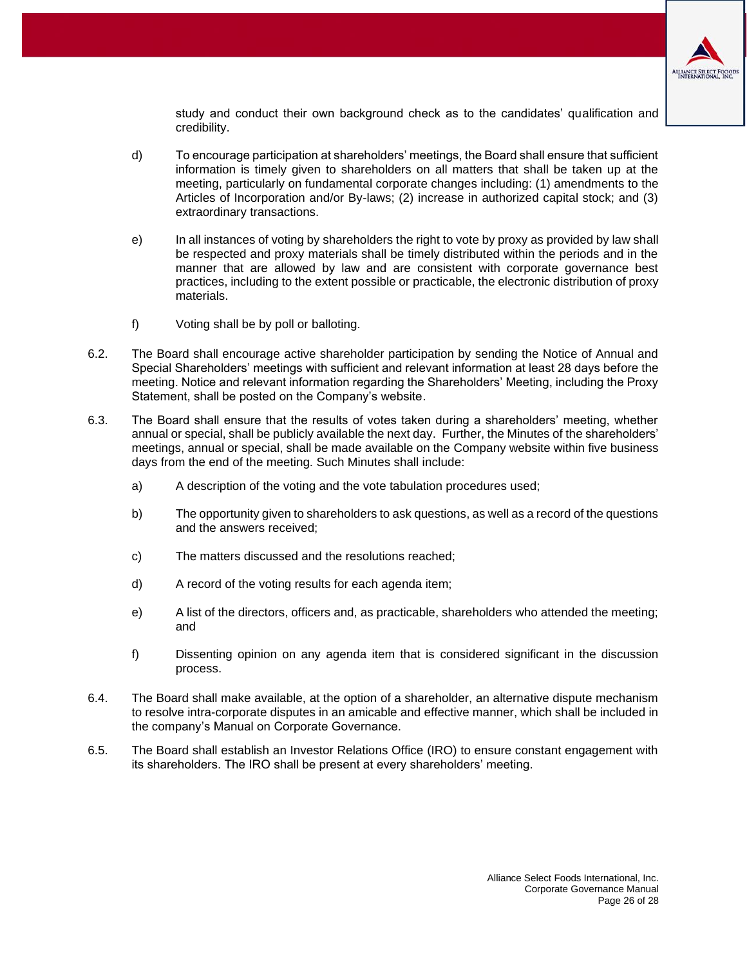

study and conduct their own background check as to the candidates' qualification and credibility.

- d) To encourage participation at shareholders' meetings, the Board shall ensure that sufficient information is timely given to shareholders on all matters that shall be taken up at the meeting, particularly on fundamental corporate changes including: (1) amendments to the Articles of Incorporation and/or By-laws; (2) increase in authorized capital stock; and (3) extraordinary transactions.
- e) In all instances of voting by shareholders the right to vote by proxy as provided by law shall be respected and proxy materials shall be timely distributed within the periods and in the manner that are allowed by law and are consistent with corporate governance best practices, including to the extent possible or practicable, the electronic distribution of proxy materials.
- f) Voting shall be by poll or balloting.
- 6.2. The Board shall encourage active shareholder participation by sending the Notice of Annual and Special Shareholders' meetings with sufficient and relevant information at least 28 days before the meeting. Notice and relevant information regarding the Shareholders' Meeting, including the Proxy Statement, shall be posted on the Company's website.
- 6.3. The Board shall ensure that the results of votes taken during a shareholders' meeting, whether annual or special, shall be publicly available the next day. Further, the Minutes of the shareholders' meetings, annual or special, shall be made available on the Company website within five business days from the end of the meeting. Such Minutes shall include:
	- a) A description of the voting and the vote tabulation procedures used;
	- b) The opportunity given to shareholders to ask questions, as well as a record of the questions and the answers received;
	- c) The matters discussed and the resolutions reached;
	- d) A record of the voting results for each agenda item;
	- e) A list of the directors, officers and, as practicable, shareholders who attended the meeting; and
	- f) Dissenting opinion on any agenda item that is considered significant in the discussion process.
- 6.4. The Board shall make available, at the option of a shareholder, an alternative dispute mechanism to resolve intra-corporate disputes in an amicable and effective manner, which shall be included in the company's Manual on Corporate Governance.
- 6.5. The Board shall establish an Investor Relations Office (IRO) to ensure constant engagement with its shareholders. The IRO shall be present at every shareholders' meeting.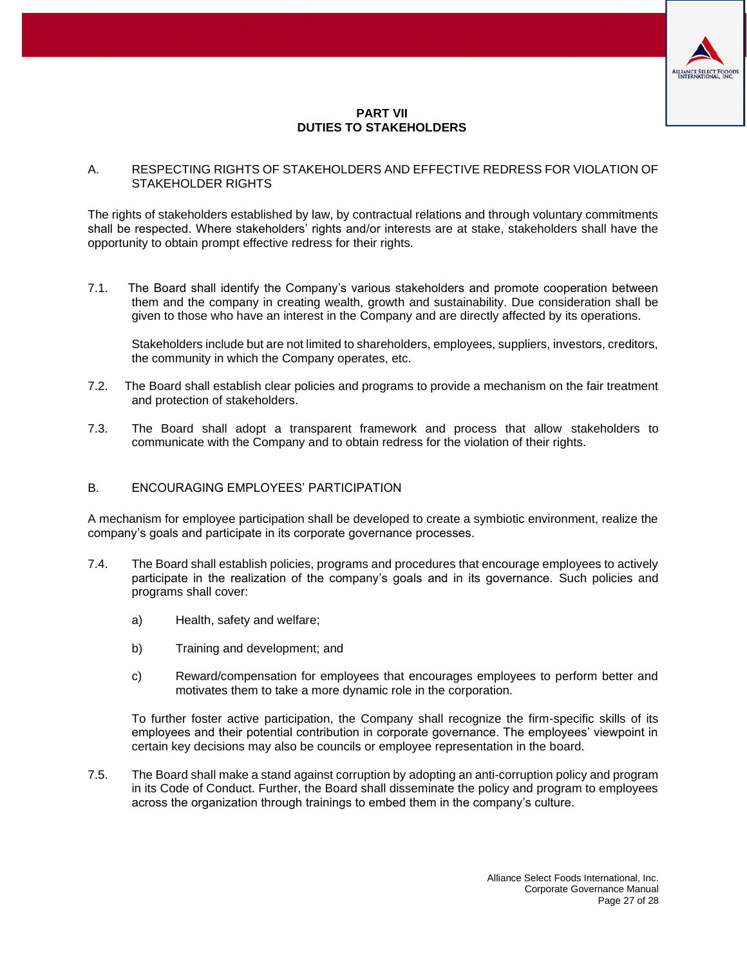

## **PART VII DUTIES TO STAKEHOLDERS**

## A. RESPECTING RIGHTS OF STAKEHOLDERS AND EFFECTIVE REDRESS FOR VIOLATION OF STAKEHOLDER RIGHTS

The rights of stakeholders established by law, by contractual relations and through voluntary commitments shall be respected. Where stakeholders' rights and/or interests are at stake, stakeholders shall have the opportunity to obtain prompt effective redress for their rights.

7.1. The Board shall identify the Company's various stakeholders and promote cooperation between them and the company in creating wealth, growth and sustainability. Due consideration shall be given to those who have an interest in the Company and are directly affected by its operations.

Stakeholders include but are not limited to shareholders, employees, suppliers, investors, creditors, the community in which the Company operates, etc.

- 7.2. The Board shall establish clear policies and programs to provide a mechanism on the fair treatment and protection of stakeholders.
- 7.3. The Board shall adopt a transparent framework and process that allow stakeholders to communicate with the Company and to obtain redress for the violation of their rights.

### B. ENCOURAGING EMPLOYEES' PARTICIPATION

A mechanism for employee participation shall be developed to create a symbiotic environment, realize the company's goals and participate in its corporate governance processes.

- 7.4. The Board shall establish policies, programs and procedures that encourage employees to actively participate in the realization of the company's goals and in its governance. Such policies and programs shall cover:
	- a) Health, safety and welfare;
	- b) Training and development; and
	- c) Reward/compensation for employees that encourages employees to perform better and motivates them to take a more dynamic role in the corporation.

To further foster active participation, the Company shall recognize the firm-specific skills of its employees and their potential contribution in corporate governance. The employees' viewpoint in certain key decisions may also be councils or employee representation in the board.

7.5. The Board shall make a stand against corruption by adopting an anti-corruption policy and program in its Code of Conduct. Further, the Board shall disseminate the policy and program to employees across the organization through trainings to embed them in the company's culture.